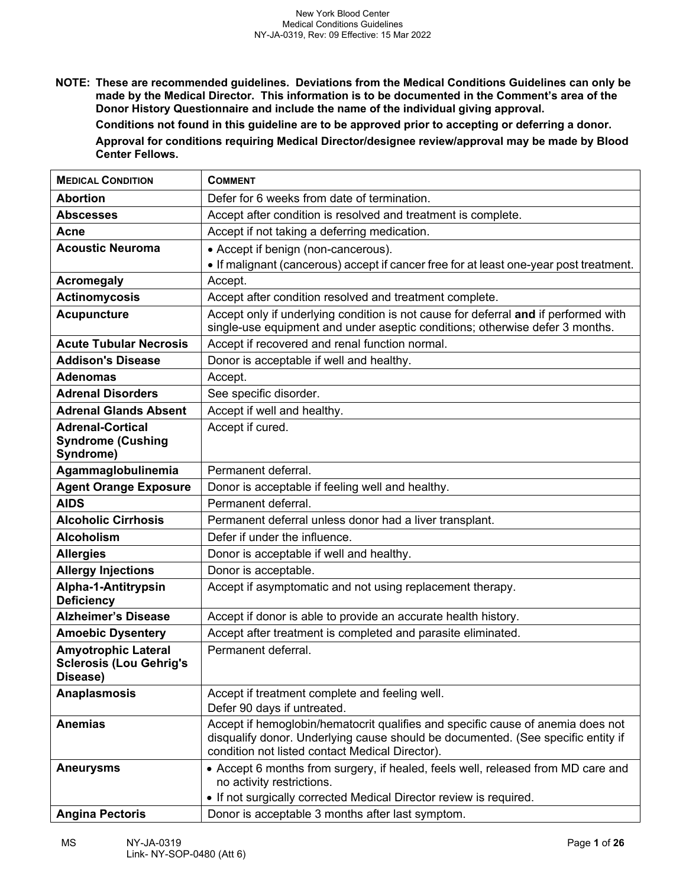**NOTE: These are recommended guidelines. Deviations from the Medical Conditions Guidelines can only be made by the Medical Director. This information is to be documented in the Comment's area of the Donor History Questionnaire and include the name of the individual giving approval.** 

**Conditions not found in this guideline are to be approved prior to accepting or deferring a donor.**

**Approval for conditions requiring Medical Director/designee review/approval may be made by Blood Center Fellows.**

| <b>MEDICAL CONDITION</b>                                                 | <b>COMMENT</b>                                                                                                                                                                                                         |
|--------------------------------------------------------------------------|------------------------------------------------------------------------------------------------------------------------------------------------------------------------------------------------------------------------|
| <b>Abortion</b>                                                          | Defer for 6 weeks from date of termination.                                                                                                                                                                            |
| <b>Abscesses</b>                                                         | Accept after condition is resolved and treatment is complete.                                                                                                                                                          |
| Acne                                                                     | Accept if not taking a deferring medication.                                                                                                                                                                           |
| <b>Acoustic Neuroma</b>                                                  | • Accept if benign (non-cancerous).                                                                                                                                                                                    |
|                                                                          | • If malignant (cancerous) accept if cancer free for at least one-year post treatment.                                                                                                                                 |
| <b>Acromegaly</b>                                                        | Accept.                                                                                                                                                                                                                |
| <b>Actinomycosis</b>                                                     | Accept after condition resolved and treatment complete.                                                                                                                                                                |
| <b>Acupuncture</b>                                                       | Accept only if underlying condition is not cause for deferral and if performed with<br>single-use equipment and under aseptic conditions; otherwise defer 3 months.                                                    |
| <b>Acute Tubular Necrosis</b>                                            | Accept if recovered and renal function normal.                                                                                                                                                                         |
| <b>Addison's Disease</b>                                                 | Donor is acceptable if well and healthy.                                                                                                                                                                               |
| <b>Adenomas</b>                                                          | Accept.                                                                                                                                                                                                                |
| <b>Adrenal Disorders</b>                                                 | See specific disorder.                                                                                                                                                                                                 |
| <b>Adrenal Glands Absent</b>                                             | Accept if well and healthy.                                                                                                                                                                                            |
| <b>Adrenal-Cortical</b><br><b>Syndrome (Cushing</b><br>Syndrome)         | Accept if cured.                                                                                                                                                                                                       |
| Agammaglobulinemia                                                       | Permanent deferral.                                                                                                                                                                                                    |
| <b>Agent Orange Exposure</b>                                             | Donor is acceptable if feeling well and healthy.                                                                                                                                                                       |
| <b>AIDS</b>                                                              | Permanent deferral.                                                                                                                                                                                                    |
| <b>Alcoholic Cirrhosis</b>                                               | Permanent deferral unless donor had a liver transplant.                                                                                                                                                                |
| <b>Alcoholism</b>                                                        | Defer if under the influence.                                                                                                                                                                                          |
| <b>Allergies</b>                                                         | Donor is acceptable if well and healthy.                                                                                                                                                                               |
| <b>Allergy Injections</b>                                                | Donor is acceptable.                                                                                                                                                                                                   |
| Alpha-1-Antitrypsin<br><b>Deficiency</b>                                 | Accept if asymptomatic and not using replacement therapy.                                                                                                                                                              |
| <b>Alzheimer's Disease</b>                                               | Accept if donor is able to provide an accurate health history.                                                                                                                                                         |
| <b>Amoebic Dysentery</b>                                                 | Accept after treatment is completed and parasite eliminated.                                                                                                                                                           |
| <b>Amyotrophic Lateral</b><br><b>Sclerosis (Lou Gehrig's</b><br>Disease) | Permanent deferral.                                                                                                                                                                                                    |
| <b>Anaplasmosis</b>                                                      | Accept if treatment complete and feeling well.<br>Defer 90 days if untreated.                                                                                                                                          |
| <b>Anemias</b>                                                           | Accept if hemoglobin/hematocrit qualifies and specific cause of anemia does not<br>disqualify donor. Underlying cause should be documented. (See specific entity if<br>condition not listed contact Medical Director). |
| <b>Aneurysms</b>                                                         | • Accept 6 months from surgery, if healed, feels well, released from MD care and<br>no activity restrictions.                                                                                                          |
|                                                                          | • If not surgically corrected Medical Director review is required.                                                                                                                                                     |
| <b>Angina Pectoris</b>                                                   | Donor is acceptable 3 months after last symptom.                                                                                                                                                                       |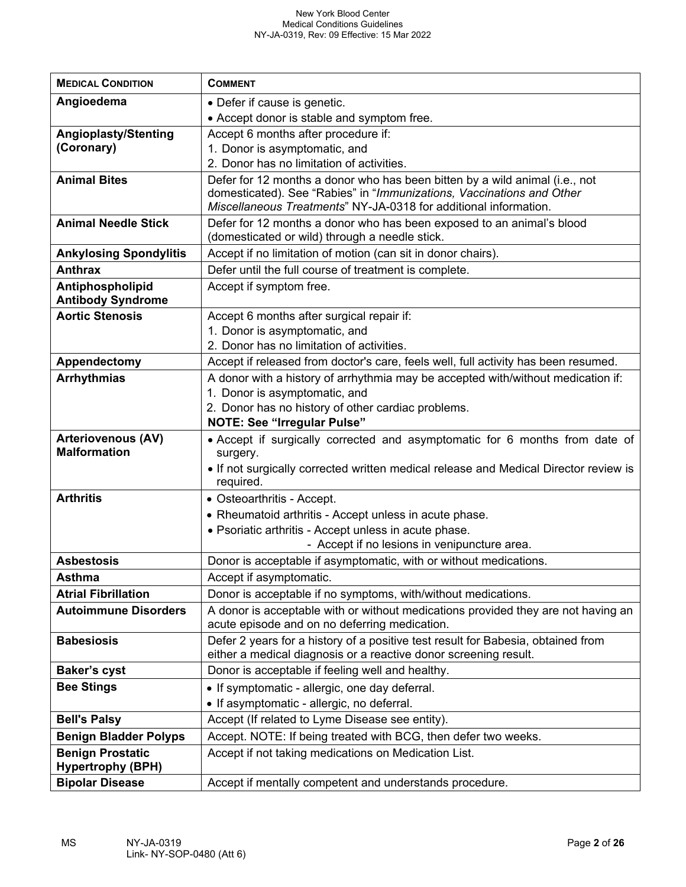| <b>MEDICAL CONDITION</b>                         | <b>COMMENT</b>                                                                                                                                       |
|--------------------------------------------------|------------------------------------------------------------------------------------------------------------------------------------------------------|
|                                                  |                                                                                                                                                      |
| Angioedema                                       | • Defer if cause is genetic.                                                                                                                         |
|                                                  | • Accept donor is stable and symptom free.                                                                                                           |
| <b>Angioplasty/Stenting</b>                      | Accept 6 months after procedure if:                                                                                                                  |
| (Coronary)                                       | 1. Donor is asymptomatic, and                                                                                                                        |
|                                                  | 2. Donor has no limitation of activities.                                                                                                            |
| <b>Animal Bites</b>                              | Defer for 12 months a donor who has been bitten by a wild animal (i.e., not<br>domesticated). See "Rabies" in "Immunizations, Vaccinations and Other |
|                                                  | Miscellaneous Treatments" NY-JA-0318 for additional information.                                                                                     |
| <b>Animal Needle Stick</b>                       | Defer for 12 months a donor who has been exposed to an animal's blood                                                                                |
|                                                  | (domesticated or wild) through a needle stick.                                                                                                       |
| <b>Ankylosing Spondylitis</b>                    | Accept if no limitation of motion (can sit in donor chairs).                                                                                         |
| <b>Anthrax</b>                                   | Defer until the full course of treatment is complete.                                                                                                |
| Antiphospholipid                                 | Accept if symptom free.                                                                                                                              |
| <b>Antibody Syndrome</b>                         |                                                                                                                                                      |
| <b>Aortic Stenosis</b>                           | Accept 6 months after surgical repair if:                                                                                                            |
|                                                  | 1. Donor is asymptomatic, and                                                                                                                        |
|                                                  | 2. Donor has no limitation of activities.                                                                                                            |
| Appendectomy                                     | Accept if released from doctor's care, feels well, full activity has been resumed.                                                                   |
| <b>Arrhythmias</b>                               | A donor with a history of arrhythmia may be accepted with/without medication if:                                                                     |
|                                                  | 1. Donor is asymptomatic, and                                                                                                                        |
|                                                  | 2. Donor has no history of other cardiac problems.                                                                                                   |
|                                                  | <b>NOTE: See "Irregular Pulse"</b>                                                                                                                   |
| <b>Arteriovenous (AV)</b><br><b>Malformation</b> | • Accept if surgically corrected and asymptomatic for 6 months from date of                                                                          |
|                                                  | surgery.                                                                                                                                             |
|                                                  | • If not surgically corrected written medical release and Medical Director review is<br>required.                                                    |
| <b>Arthritis</b>                                 | • Osteoarthritis - Accept.                                                                                                                           |
|                                                  | • Rheumatoid arthritis - Accept unless in acute phase.                                                                                               |
|                                                  | • Psoriatic arthritis - Accept unless in acute phase.                                                                                                |
|                                                  | - Accept if no lesions in venipuncture area.                                                                                                         |
| <b>Asbestosis</b>                                | Donor is acceptable if asymptomatic, with or without medications.                                                                                    |
| <b>Asthma</b>                                    | Accept if asymptomatic.                                                                                                                              |
| <b>Atrial Fibrillation</b>                       | Donor is acceptable if no symptoms, with/without medications.                                                                                        |
| <b>Autoimmune Disorders</b>                      | A donor is acceptable with or without medications provided they are not having an                                                                    |
|                                                  | acute episode and on no deferring medication.                                                                                                        |
| <b>Babesiosis</b>                                | Defer 2 years for a history of a positive test result for Babesia, obtained from<br>either a medical diagnosis or a reactive donor screening result. |
| <b>Baker's cyst</b>                              | Donor is acceptable if feeling well and healthy.                                                                                                     |
| <b>Bee Stings</b>                                | • If symptomatic - allergic, one day deferral.                                                                                                       |
|                                                  | • If asymptomatic - allergic, no deferral.                                                                                                           |
| <b>Bell's Palsy</b>                              | Accept (If related to Lyme Disease see entity).                                                                                                      |
| <b>Benign Bladder Polyps</b>                     | Accept. NOTE: If being treated with BCG, then defer two weeks.                                                                                       |
| <b>Benign Prostatic</b>                          | Accept if not taking medications on Medication List.                                                                                                 |
| <b>Hypertrophy (BPH)</b>                         |                                                                                                                                                      |
| <b>Bipolar Disease</b>                           | Accept if mentally competent and understands procedure.                                                                                              |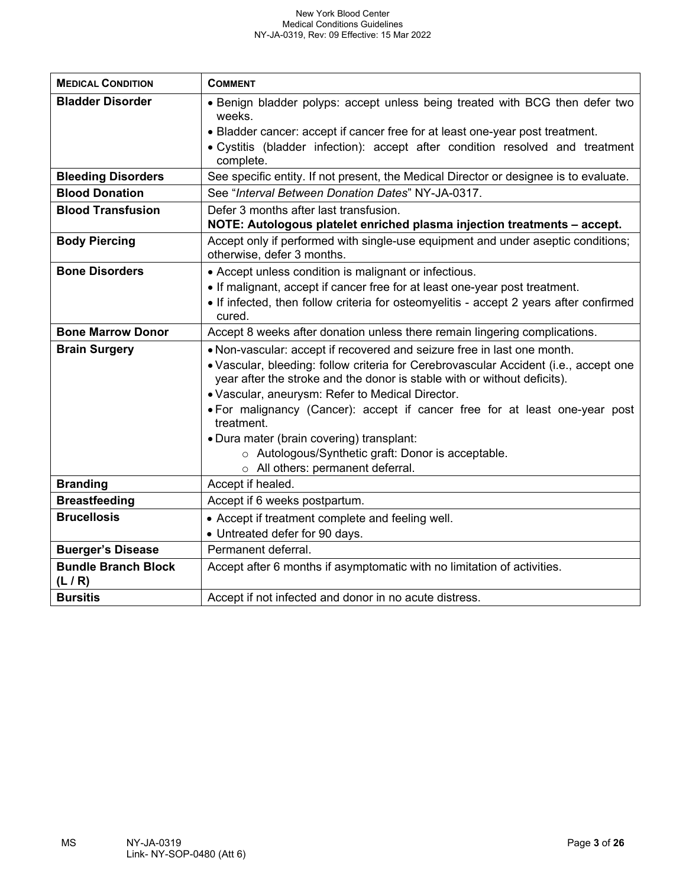| <b>MEDICAL CONDITION</b>            | <b>COMMENT</b>                                                                                                                                                                                                                                                                                                                                                                 |
|-------------------------------------|--------------------------------------------------------------------------------------------------------------------------------------------------------------------------------------------------------------------------------------------------------------------------------------------------------------------------------------------------------------------------------|
| <b>Bladder Disorder</b>             | • Benign bladder polyps: accept unless being treated with BCG then defer two<br>weeks.                                                                                                                                                                                                                                                                                         |
|                                     | • Bladder cancer: accept if cancer free for at least one-year post treatment.                                                                                                                                                                                                                                                                                                  |
|                                     | · Cystitis (bladder infection): accept after condition resolved and treatment<br>complete.                                                                                                                                                                                                                                                                                     |
| <b>Bleeding Disorders</b>           | See specific entity. If not present, the Medical Director or designee is to evaluate.                                                                                                                                                                                                                                                                                          |
| <b>Blood Donation</b>               | See "Interval Between Donation Dates" NY-JA-0317.                                                                                                                                                                                                                                                                                                                              |
| <b>Blood Transfusion</b>            | Defer 3 months after last transfusion.                                                                                                                                                                                                                                                                                                                                         |
|                                     | NOTE: Autologous platelet enriched plasma injection treatments - accept.                                                                                                                                                                                                                                                                                                       |
| <b>Body Piercing</b>                | Accept only if performed with single-use equipment and under aseptic conditions;<br>otherwise, defer 3 months.                                                                                                                                                                                                                                                                 |
| <b>Bone Disorders</b>               | • Accept unless condition is malignant or infectious.                                                                                                                                                                                                                                                                                                                          |
|                                     | • If malignant, accept if cancer free for at least one-year post treatment.                                                                                                                                                                                                                                                                                                    |
|                                     | • If infected, then follow criteria for osteomyelitis - accept 2 years after confirmed<br>cured.                                                                                                                                                                                                                                                                               |
| <b>Bone Marrow Donor</b>            | Accept 8 weeks after donation unless there remain lingering complications.                                                                                                                                                                                                                                                                                                     |
| <b>Brain Surgery</b>                | . Non-vascular: accept if recovered and seizure free in last one month.<br>• Vascular, bleeding: follow criteria for Cerebrovascular Accident (i.e., accept one<br>year after the stroke and the donor is stable with or without deficits).<br>. Vascular, aneurysm: Refer to Medical Director.<br>• For malignancy (Cancer): accept if cancer free for at least one-year post |
|                                     | treatment.                                                                                                                                                                                                                                                                                                                                                                     |
|                                     | • Dura mater (brain covering) transplant:                                                                                                                                                                                                                                                                                                                                      |
|                                     | o Autologous/Synthetic graft: Donor is acceptable.                                                                                                                                                                                                                                                                                                                             |
|                                     | o All others: permanent deferral.                                                                                                                                                                                                                                                                                                                                              |
| <b>Branding</b>                     | Accept if healed.                                                                                                                                                                                                                                                                                                                                                              |
| <b>Breastfeeding</b>                | Accept if 6 weeks postpartum.                                                                                                                                                                                                                                                                                                                                                  |
| <b>Brucellosis</b>                  | • Accept if treatment complete and feeling well.                                                                                                                                                                                                                                                                                                                               |
|                                     | • Untreated defer for 90 days.                                                                                                                                                                                                                                                                                                                                                 |
| <b>Buerger's Disease</b>            | Permanent deferral.                                                                                                                                                                                                                                                                                                                                                            |
| <b>Bundle Branch Block</b><br>(L/R) | Accept after 6 months if asymptomatic with no limitation of activities.                                                                                                                                                                                                                                                                                                        |
| <b>Bursitis</b>                     | Accept if not infected and donor in no acute distress.                                                                                                                                                                                                                                                                                                                         |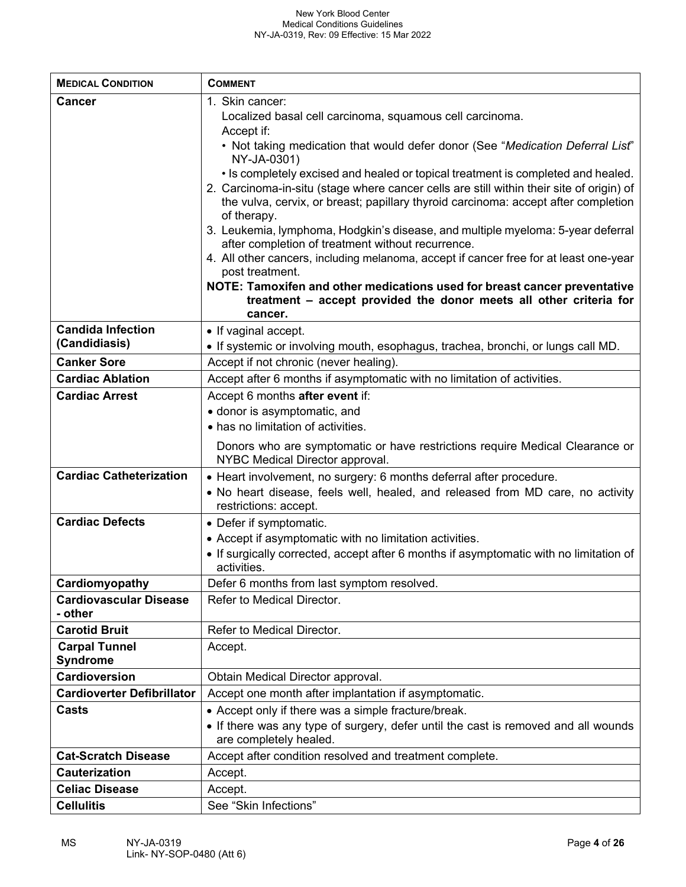| <b>MEDICAL CONDITION</b>                 | <b>COMMENT</b>                                                                                                                                                                                                                                                                                                                                                                                                                                                                                                                                                                                                                                                                                                                                                                                                                                                                         |
|------------------------------------------|----------------------------------------------------------------------------------------------------------------------------------------------------------------------------------------------------------------------------------------------------------------------------------------------------------------------------------------------------------------------------------------------------------------------------------------------------------------------------------------------------------------------------------------------------------------------------------------------------------------------------------------------------------------------------------------------------------------------------------------------------------------------------------------------------------------------------------------------------------------------------------------|
| <b>Cancer</b>                            | 1. Skin cancer:<br>Localized basal cell carcinoma, squamous cell carcinoma.<br>Accept if:<br>. Not taking medication that would defer donor (See "Medication Deferral List"<br>NY-JA-0301)<br>• Is completely excised and healed or topical treatment is completed and healed.<br>2. Carcinoma-in-situ (stage where cancer cells are still within their site of origin) of<br>the vulva, cervix, or breast; papillary thyroid carcinoma: accept after completion<br>of therapy.<br>3. Leukemia, lymphoma, Hodgkin's disease, and multiple myeloma: 5-year deferral<br>after completion of treatment without recurrence.<br>4. All other cancers, including melanoma, accept if cancer free for at least one-year<br>post treatment.<br>NOTE: Tamoxifen and other medications used for breast cancer preventative<br>treatment - accept provided the donor meets all other criteria for |
| <b>Candida Infection</b>                 | cancer.                                                                                                                                                                                                                                                                                                                                                                                                                                                                                                                                                                                                                                                                                                                                                                                                                                                                                |
| (Candidiasis)                            | • If vaginal accept.<br>. If systemic or involving mouth, esophagus, trachea, bronchi, or lungs call MD.                                                                                                                                                                                                                                                                                                                                                                                                                                                                                                                                                                                                                                                                                                                                                                               |
| <b>Canker Sore</b>                       | Accept if not chronic (never healing).                                                                                                                                                                                                                                                                                                                                                                                                                                                                                                                                                                                                                                                                                                                                                                                                                                                 |
| <b>Cardiac Ablation</b>                  | Accept after 6 months if asymptomatic with no limitation of activities.                                                                                                                                                                                                                                                                                                                                                                                                                                                                                                                                                                                                                                                                                                                                                                                                                |
| <b>Cardiac Arrest</b>                    | Accept 6 months after event if:<br>• donor is asymptomatic, and<br>• has no limitation of activities.<br>Donors who are symptomatic or have restrictions require Medical Clearance or<br>NYBC Medical Director approval.                                                                                                                                                                                                                                                                                                                                                                                                                                                                                                                                                                                                                                                               |
| <b>Cardiac Catheterization</b>           | • Heart involvement, no surgery: 6 months deferral after procedure.<br>. No heart disease, feels well, healed, and released from MD care, no activity<br>restrictions: accept.                                                                                                                                                                                                                                                                                                                                                                                                                                                                                                                                                                                                                                                                                                         |
| <b>Cardiac Defects</b>                   | • Defer if symptomatic.<br>• Accept if asymptomatic with no limitation activities.<br>• If surgically corrected, accept after 6 months if asymptomatic with no limitation of<br>activities.                                                                                                                                                                                                                                                                                                                                                                                                                                                                                                                                                                                                                                                                                            |
| Cardiomyopathy                           | Defer 6 months from last symptom resolved.                                                                                                                                                                                                                                                                                                                                                                                                                                                                                                                                                                                                                                                                                                                                                                                                                                             |
| <b>Cardiovascular Disease</b><br>- other | Refer to Medical Director.                                                                                                                                                                                                                                                                                                                                                                                                                                                                                                                                                                                                                                                                                                                                                                                                                                                             |
| <b>Carotid Bruit</b>                     | Refer to Medical Director.                                                                                                                                                                                                                                                                                                                                                                                                                                                                                                                                                                                                                                                                                                                                                                                                                                                             |
| <b>Carpal Tunnel</b><br><b>Syndrome</b>  | Accept.                                                                                                                                                                                                                                                                                                                                                                                                                                                                                                                                                                                                                                                                                                                                                                                                                                                                                |
| Cardioversion                            | Obtain Medical Director approval.                                                                                                                                                                                                                                                                                                                                                                                                                                                                                                                                                                                                                                                                                                                                                                                                                                                      |
| <b>Cardioverter Defibrillator</b>        | Accept one month after implantation if asymptomatic.                                                                                                                                                                                                                                                                                                                                                                                                                                                                                                                                                                                                                                                                                                                                                                                                                                   |
| <b>Casts</b>                             | • Accept only if there was a simple fracture/break.<br>• If there was any type of surgery, defer until the cast is removed and all wounds<br>are completely healed.                                                                                                                                                                                                                                                                                                                                                                                                                                                                                                                                                                                                                                                                                                                    |
| <b>Cat-Scratch Disease</b>               | Accept after condition resolved and treatment complete.                                                                                                                                                                                                                                                                                                                                                                                                                                                                                                                                                                                                                                                                                                                                                                                                                                |
| <b>Cauterization</b>                     | Accept.                                                                                                                                                                                                                                                                                                                                                                                                                                                                                                                                                                                                                                                                                                                                                                                                                                                                                |
| <b>Celiac Disease</b>                    | Accept.                                                                                                                                                                                                                                                                                                                                                                                                                                                                                                                                                                                                                                                                                                                                                                                                                                                                                |
| <b>Cellulitis</b>                        | See "Skin Infections"                                                                                                                                                                                                                                                                                                                                                                                                                                                                                                                                                                                                                                                                                                                                                                                                                                                                  |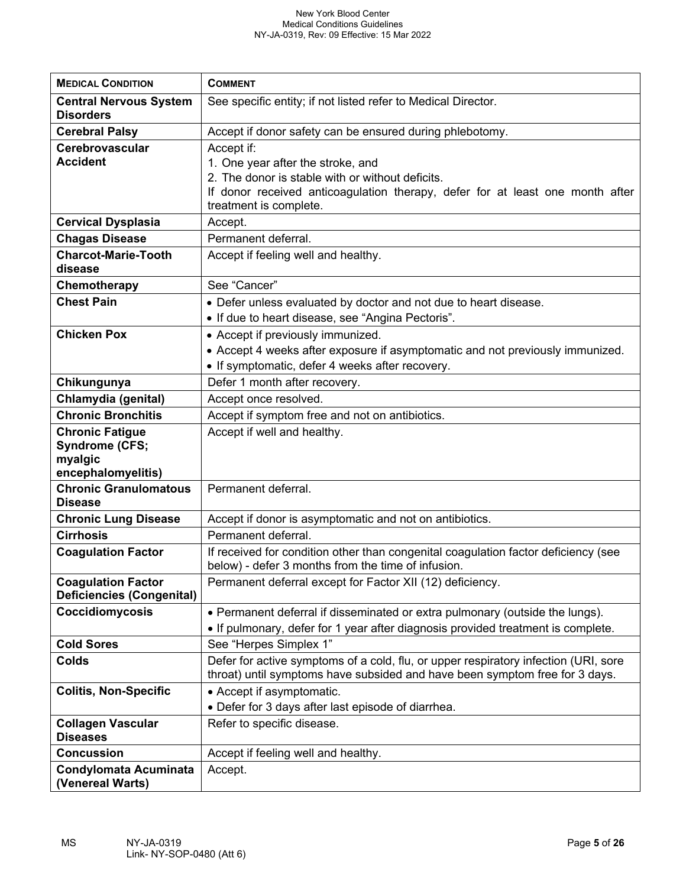| <b>MEDICAL CONDITION</b>                                      | <b>COMMENT</b>                                                                                          |
|---------------------------------------------------------------|---------------------------------------------------------------------------------------------------------|
| <b>Central Nervous System</b>                                 | See specific entity; if not listed refer to Medical Director.                                           |
| <b>Disorders</b>                                              |                                                                                                         |
| <b>Cerebral Palsy</b>                                         | Accept if donor safety can be ensured during phlebotomy.                                                |
| Cerebrovascular                                               | Accept if:                                                                                              |
| <b>Accident</b>                                               | 1. One year after the stroke, and                                                                       |
|                                                               | 2. The donor is stable with or without deficits.                                                        |
|                                                               | If donor received anticoagulation therapy, defer for at least one month after<br>treatment is complete. |
| <b>Cervical Dysplasia</b>                                     | Accept.                                                                                                 |
| <b>Chagas Disease</b>                                         | Permanent deferral.                                                                                     |
| <b>Charcot-Marie-Tooth</b>                                    | Accept if feeling well and healthy.                                                                     |
| disease                                                       |                                                                                                         |
| Chemotherapy                                                  | See "Cancer"                                                                                            |
| <b>Chest Pain</b>                                             | • Defer unless evaluated by doctor and not due to heart disease.                                        |
|                                                               | • If due to heart disease, see "Angina Pectoris".                                                       |
| <b>Chicken Pox</b>                                            | • Accept if previously immunized.                                                                       |
|                                                               | • Accept 4 weeks after exposure if asymptomatic and not previously immunized.                           |
|                                                               | • If symptomatic, defer 4 weeks after recovery.                                                         |
| Chikungunya                                                   | Defer 1 month after recovery.                                                                           |
| Chlamydia (genital)                                           | Accept once resolved.                                                                                   |
| <b>Chronic Bronchitis</b>                                     | Accept if symptom free and not on antibiotics.                                                          |
| <b>Chronic Fatigue</b>                                        | Accept if well and healthy.                                                                             |
| <b>Syndrome (CFS;</b>                                         |                                                                                                         |
| myalgic<br>encephalomyelitis)                                 |                                                                                                         |
| <b>Chronic Granulomatous</b>                                  | Permanent deferral.                                                                                     |
| <b>Disease</b>                                                |                                                                                                         |
| <b>Chronic Lung Disease</b>                                   | Accept if donor is asymptomatic and not on antibiotics.                                                 |
| <b>Cirrhosis</b>                                              | Permanent deferral.                                                                                     |
| <b>Coagulation Factor</b>                                     | If received for condition other than congenital coagulation factor deficiency (see                      |
|                                                               | below) - defer 3 months from the time of infusion.                                                      |
| <b>Coagulation Factor</b><br><b>Deficiencies (Congenital)</b> | Permanent deferral except for Factor XII (12) deficiency.                                               |
| Coccidiomycosis                                               | • Permanent deferral if disseminated or extra pulmonary (outside the lungs).                            |
|                                                               | • If pulmonary, defer for 1 year after diagnosis provided treatment is complete.                        |
| <b>Cold Sores</b>                                             | See "Herpes Simplex 1"                                                                                  |
| <b>Colds</b>                                                  | Defer for active symptoms of a cold, flu, or upper respiratory infection (URI, sore                     |
|                                                               | throat) until symptoms have subsided and have been symptom free for 3 days.                             |
| <b>Colitis, Non-Specific</b>                                  | • Accept if asymptomatic.                                                                               |
|                                                               | • Defer for 3 days after last episode of diarrhea.                                                      |
| <b>Collagen Vascular</b><br><b>Diseases</b>                   | Refer to specific disease.                                                                              |
| <b>Concussion</b>                                             | Accept if feeling well and healthy.                                                                     |
| <b>Condylomata Acuminata</b>                                  | Accept.                                                                                                 |
| (Venereal Warts)                                              |                                                                                                         |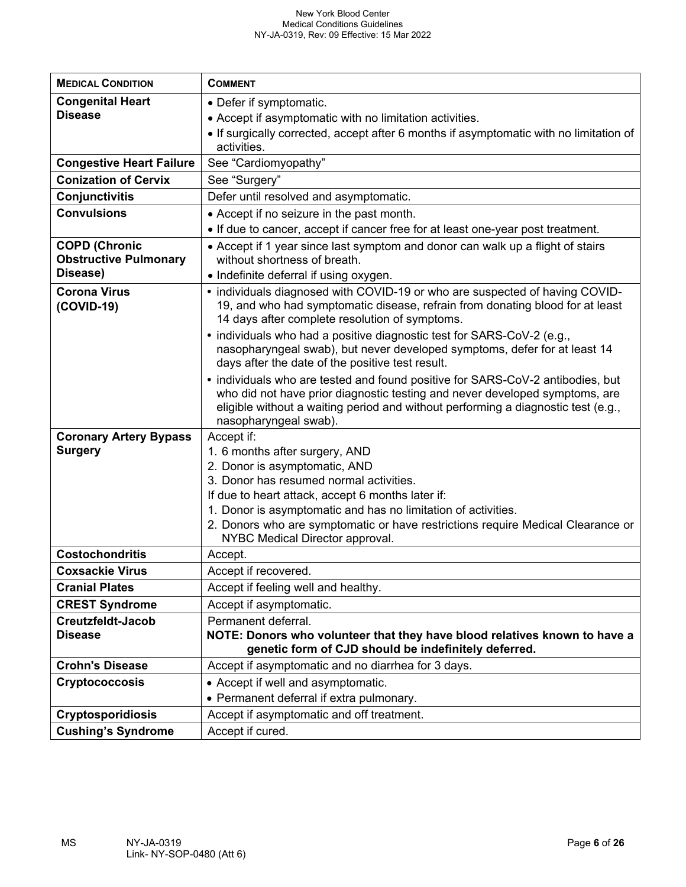| <b>MEDICAL CONDITION</b>                        | <b>COMMENT</b>                                                                                                                  |
|-------------------------------------------------|---------------------------------------------------------------------------------------------------------------------------------|
| <b>Congenital Heart</b>                         | • Defer if symptomatic.                                                                                                         |
| <b>Disease</b>                                  | • Accept if asymptomatic with no limitation activities.                                                                         |
|                                                 | • If surgically corrected, accept after 6 months if asymptomatic with no limitation of                                          |
|                                                 | activities.                                                                                                                     |
| <b>Congestive Heart Failure</b>                 | See "Cardiomyopathy"                                                                                                            |
| <b>Conization of Cervix</b>                     | See "Surgery"                                                                                                                   |
| Conjunctivitis                                  | Defer until resolved and asymptomatic.                                                                                          |
| <b>Convulsions</b>                              | • Accept if no seizure in the past month.                                                                                       |
|                                                 | . If due to cancer, accept if cancer free for at least one-year post treatment.                                                 |
| <b>COPD (Chronic</b>                            | • Accept if 1 year since last symptom and donor can walk up a flight of stairs                                                  |
| <b>Obstructive Pulmonary</b>                    | without shortness of breath.                                                                                                    |
| Disease)                                        | • Indefinite deferral if using oxygen.                                                                                          |
| <b>Corona Virus</b>                             | • individuals diagnosed with COVID-19 or who are suspected of having COVID-                                                     |
| (COVID-19)                                      | 19, and who had symptomatic disease, refrain from donating blood for at least<br>14 days after complete resolution of symptoms. |
|                                                 | • individuals who had a positive diagnostic test for SARS-CoV-2 (e.g.,                                                          |
|                                                 | nasopharyngeal swab), but never developed symptoms, defer for at least 14                                                       |
|                                                 | days after the date of the positive test result.                                                                                |
|                                                 | • individuals who are tested and found positive for SARS-CoV-2 antibodies, but                                                  |
|                                                 | who did not have prior diagnostic testing and never developed symptoms, are                                                     |
|                                                 | eligible without a waiting period and without performing a diagnostic test (e.g.,                                               |
|                                                 | nasopharyngeal swab).                                                                                                           |
| <b>Coronary Artery Bypass</b><br><b>Surgery</b> | Accept if:                                                                                                                      |
|                                                 | 1. 6 months after surgery, AND<br>2. Donor is asymptomatic, AND                                                                 |
|                                                 | 3. Donor has resumed normal activities.                                                                                         |
|                                                 | If due to heart attack, accept 6 months later if:                                                                               |
|                                                 | 1. Donor is asymptomatic and has no limitation of activities.                                                                   |
|                                                 | 2. Donors who are symptomatic or have restrictions require Medical Clearance or                                                 |
|                                                 | NYBC Medical Director approval.                                                                                                 |
| <b>Costochondritis</b>                          | Accept.                                                                                                                         |
| <b>Coxsackie Virus</b>                          | Accept if recovered.                                                                                                            |
| <b>Cranial Plates</b>                           | Accept if feeling well and healthy.                                                                                             |
| <b>CREST Syndrome</b>                           | Accept if asymptomatic.                                                                                                         |
| Creutzfeldt-Jacob                               | Permanent deferral.                                                                                                             |
| <b>Disease</b>                                  | NOTE: Donors who volunteer that they have blood relatives known to have a                                                       |
|                                                 | genetic form of CJD should be indefinitely deferred.                                                                            |
| <b>Crohn's Disease</b>                          | Accept if asymptomatic and no diarrhea for 3 days.                                                                              |
| <b>Cryptococcosis</b>                           | • Accept if well and asymptomatic.                                                                                              |
|                                                 | • Permanent deferral if extra pulmonary.                                                                                        |
| <b>Cryptosporidiosis</b>                        | Accept if asymptomatic and off treatment.                                                                                       |
| <b>Cushing's Syndrome</b>                       | Accept if cured.                                                                                                                |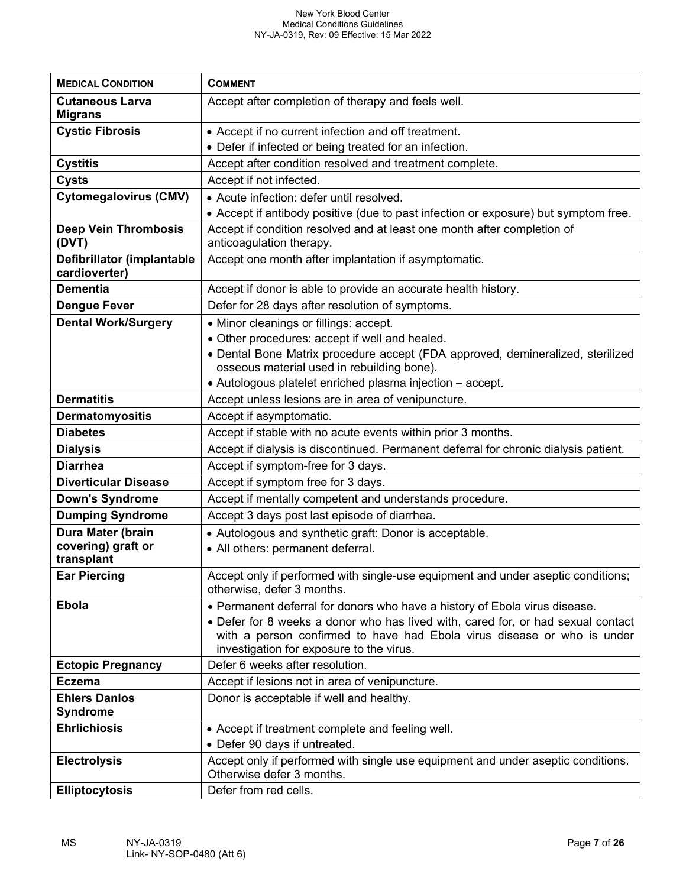| <b>MEDICAL CONDITION</b>                    | <b>COMMENT</b>                                                                                                                                                                                          |
|---------------------------------------------|---------------------------------------------------------------------------------------------------------------------------------------------------------------------------------------------------------|
| <b>Cutaneous Larva</b><br><b>Migrans</b>    | Accept after completion of therapy and feels well.                                                                                                                                                      |
| <b>Cystic Fibrosis</b>                      | • Accept if no current infection and off treatment.                                                                                                                                                     |
|                                             | • Defer if infected or being treated for an infection.                                                                                                                                                  |
| <b>Cystitis</b>                             | Accept after condition resolved and treatment complete.                                                                                                                                                 |
| <b>Cysts</b>                                | Accept if not infected.                                                                                                                                                                                 |
| <b>Cytomegalovirus (CMV)</b>                | • Acute infection: defer until resolved.                                                                                                                                                                |
|                                             | • Accept if antibody positive (due to past infection or exposure) but symptom free.                                                                                                                     |
| <b>Deep Vein Thrombosis</b><br>(DVT)        | Accept if condition resolved and at least one month after completion of<br>anticoagulation therapy.                                                                                                     |
| Defibrillator (implantable<br>cardioverter) | Accept one month after implantation if asymptomatic.                                                                                                                                                    |
| <b>Dementia</b>                             | Accept if donor is able to provide an accurate health history.                                                                                                                                          |
| <b>Dengue Fever</b>                         | Defer for 28 days after resolution of symptoms.                                                                                                                                                         |
| <b>Dental Work/Surgery</b>                  | • Minor cleanings or fillings: accept.                                                                                                                                                                  |
|                                             | • Other procedures: accept if well and healed.                                                                                                                                                          |
|                                             | · Dental Bone Matrix procedure accept (FDA approved, demineralized, sterilized                                                                                                                          |
|                                             | osseous material used in rebuilding bone).                                                                                                                                                              |
| <b>Dermatitis</b>                           | • Autologous platelet enriched plasma injection - accept.                                                                                                                                               |
|                                             | Accept unless lesions are in area of venipuncture.                                                                                                                                                      |
| Dermatomyositis                             | Accept if asymptomatic.                                                                                                                                                                                 |
| <b>Diabetes</b>                             | Accept if stable with no acute events within prior 3 months.                                                                                                                                            |
| <b>Dialysis</b>                             | Accept if dialysis is discontinued. Permanent deferral for chronic dialysis patient.                                                                                                                    |
| <b>Diarrhea</b>                             | Accept if symptom-free for 3 days.                                                                                                                                                                      |
| <b>Diverticular Disease</b>                 | Accept if symptom free for 3 days.                                                                                                                                                                      |
| <b>Down's Syndrome</b>                      | Accept if mentally competent and understands procedure.                                                                                                                                                 |
| <b>Dumping Syndrome</b>                     | Accept 3 days post last episode of diarrhea.                                                                                                                                                            |
| Dura Mater (brain<br>covering) graft or     | • Autologous and synthetic graft: Donor is acceptable.                                                                                                                                                  |
| transplant                                  | • All others: permanent deferral.                                                                                                                                                                       |
| <b>Ear Piercing</b>                         | Accept only if performed with single-use equipment and under aseptic conditions;<br>otherwise, defer 3 months.                                                                                          |
| <b>Ebola</b>                                | • Permanent deferral for donors who have a history of Ebola virus disease.                                                                                                                              |
|                                             | • Defer for 8 weeks a donor who has lived with, cared for, or had sexual contact<br>with a person confirmed to have had Ebola virus disease or who is under<br>investigation for exposure to the virus. |
| <b>Ectopic Pregnancy</b>                    | Defer 6 weeks after resolution.                                                                                                                                                                         |
| <b>Eczema</b>                               | Accept if lesions not in area of venipuncture.                                                                                                                                                          |
| <b>Ehlers Danlos</b><br><b>Syndrome</b>     | Donor is acceptable if well and healthy.                                                                                                                                                                |
| <b>Ehrlichiosis</b>                         | • Accept if treatment complete and feeling well.                                                                                                                                                        |
|                                             | • Defer 90 days if untreated.                                                                                                                                                                           |
| <b>Electrolysis</b>                         | Accept only if performed with single use equipment and under aseptic conditions.<br>Otherwise defer 3 months.                                                                                           |
| <b>Elliptocytosis</b>                       | Defer from red cells.                                                                                                                                                                                   |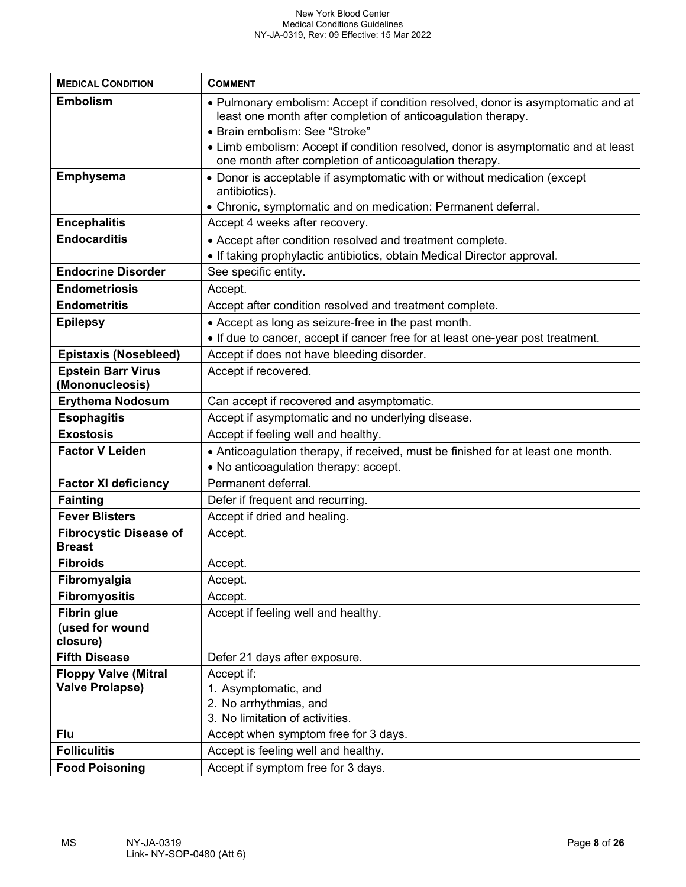| <b>MEDICAL CONDITION</b>                              | <b>COMMENT</b>                                                                                 |
|-------------------------------------------------------|------------------------------------------------------------------------------------------------|
| <b>Embolism</b>                                       | • Pulmonary embolism: Accept if condition resolved, donor is asymptomatic and at               |
|                                                       | least one month after completion of anticoagulation therapy.<br>• Brain embolism: See "Stroke" |
|                                                       | • Limb embolism: Accept if condition resolved, donor is asymptomatic and at least              |
|                                                       | one month after completion of anticoagulation therapy.                                         |
| <b>Emphysema</b>                                      | • Donor is acceptable if asymptomatic with or without medication (except                       |
|                                                       | antibiotics).                                                                                  |
|                                                       | • Chronic, symptomatic and on medication: Permanent deferral.                                  |
| <b>Encephalitis</b>                                   | Accept 4 weeks after recovery.                                                                 |
| <b>Endocarditis</b>                                   | • Accept after condition resolved and treatment complete.                                      |
|                                                       | • If taking prophylactic antibiotics, obtain Medical Director approval.                        |
| <b>Endocrine Disorder</b>                             | See specific entity.                                                                           |
| <b>Endometriosis</b>                                  | Accept.                                                                                        |
| <b>Endometritis</b>                                   | Accept after condition resolved and treatment complete.                                        |
| <b>Epilepsy</b>                                       | • Accept as long as seizure-free in the past month.                                            |
|                                                       | . If due to cancer, accept if cancer free for at least one-year post treatment.                |
| <b>Epistaxis (Nosebleed)</b>                          | Accept if does not have bleeding disorder.                                                     |
| <b>Epstein Barr Virus</b><br>(Mononucleosis)          | Accept if recovered.                                                                           |
| <b>Erythema Nodosum</b>                               | Can accept if recovered and asymptomatic.                                                      |
| <b>Esophagitis</b>                                    | Accept if asymptomatic and no underlying disease.                                              |
| <b>Exostosis</b>                                      | Accept if feeling well and healthy.                                                            |
| <b>Factor V Leiden</b>                                | • Anticoagulation therapy, if received, must be finished for at least one month.               |
|                                                       | • No anticoagulation therapy: accept.                                                          |
| <b>Factor XI deficiency</b>                           | Permanent deferral.                                                                            |
| <b>Fainting</b>                                       | Defer if frequent and recurring.                                                               |
| <b>Fever Blisters</b>                                 | Accept if dried and healing.                                                                   |
| <b>Fibrocystic Disease of</b><br><b>Breast</b>        | Accept.                                                                                        |
| <b>Fibroids</b>                                       | Accept.                                                                                        |
| Fibromyalgia                                          | Accept.                                                                                        |
| <b>Fibromyositis</b>                                  | Accept.                                                                                        |
| <b>Fibrin glue</b>                                    | Accept if feeling well and healthy.                                                            |
| (used for wound                                       |                                                                                                |
| closure)                                              |                                                                                                |
| <b>Fifth Disease</b>                                  | Defer 21 days after exposure.                                                                  |
| <b>Floppy Valve (Mitral</b><br><b>Valve Prolapse)</b> | Accept if:                                                                                     |
|                                                       | 1. Asymptomatic, and<br>2. No arrhythmias, and                                                 |
|                                                       | 3. No limitation of activities.                                                                |
| Flu                                                   | Accept when symptom free for 3 days.                                                           |
| <b>Folliculitis</b>                                   | Accept is feeling well and healthy.                                                            |
| <b>Food Poisoning</b>                                 | Accept if symptom free for 3 days.                                                             |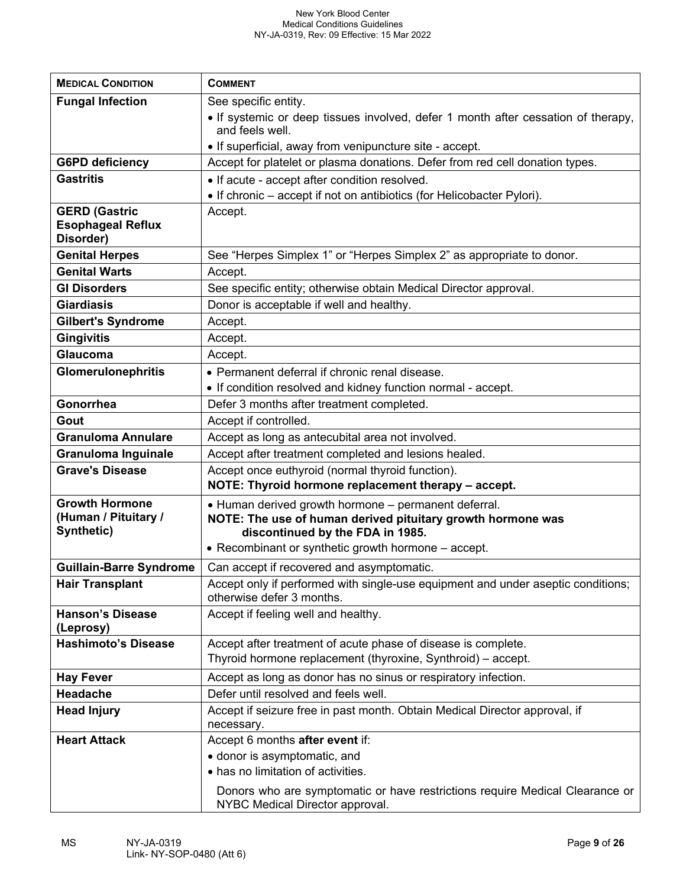| <b>MEDICAL CONDITION</b>                                      | <b>COMMENT</b>                                                                                                  |
|---------------------------------------------------------------|-----------------------------------------------------------------------------------------------------------------|
| <b>Fungal Infection</b>                                       | See specific entity.                                                                                            |
|                                                               | • If systemic or deep tissues involved, defer 1 month after cessation of therapy,<br>and feels well.            |
|                                                               | • If superficial, away from venipuncture site - accept.                                                         |
| <b>G6PD deficiency</b>                                        | Accept for platelet or plasma donations. Defer from red cell donation types.                                    |
| <b>Gastritis</b>                                              | • If acute - accept after condition resolved.                                                                   |
|                                                               | • If chronic – accept if not on antibiotics (for Helicobacter Pylori).                                          |
| <b>GERD (Gastric</b><br><b>Esophageal Reflux</b><br>Disorder) | Accept.                                                                                                         |
| <b>Genital Herpes</b>                                         | See "Herpes Simplex 1" or "Herpes Simplex 2" as appropriate to donor.                                           |
| <b>Genital Warts</b>                                          | Accept.                                                                                                         |
| <b>GI Disorders</b>                                           | See specific entity; otherwise obtain Medical Director approval.                                                |
| <b>Giardiasis</b>                                             | Donor is acceptable if well and healthy.                                                                        |
| <b>Gilbert's Syndrome</b>                                     | Accept.                                                                                                         |
| <b>Gingivitis</b>                                             | Accept.                                                                                                         |
| Glaucoma                                                      | Accept.                                                                                                         |
| <b>Glomerulonephritis</b>                                     | • Permanent deferral if chronic renal disease.                                                                  |
|                                                               | • If condition resolved and kidney function normal - accept.                                                    |
| Gonorrhea                                                     | Defer 3 months after treatment completed.                                                                       |
| Gout                                                          | Accept if controlled.                                                                                           |
| <b>Granuloma Annulare</b>                                     | Accept as long as antecubital area not involved.                                                                |
| <b>Granuloma Inguinale</b>                                    | Accept after treatment completed and lesions healed.                                                            |
| <b>Grave's Disease</b>                                        | Accept once euthyroid (normal thyroid function).                                                                |
|                                                               | NOTE: Thyroid hormone replacement therapy - accept.                                                             |
| <b>Growth Hormone</b>                                         | • Human derived growth hormone - permanent deferral.                                                            |
| (Human / Pituitary /<br>Synthetic)                            | NOTE: The use of human derived pituitary growth hormone was<br>discontinued by the FDA in 1985.                 |
|                                                               | • Recombinant or synthetic growth hormone - accept.                                                             |
|                                                               |                                                                                                                 |
| <b>Guillain-Barre Syndrome</b>                                | Can accept if recovered and asymptomatic.                                                                       |
| <b>Hair Transplant</b>                                        | Accept only if performed with single-use equipment and under aseptic conditions;<br>otherwise defer 3 months.   |
| <b>Hanson's Disease</b><br>(Leprosy)                          | Accept if feeling well and healthy.                                                                             |
| <b>Hashimoto's Disease</b>                                    | Accept after treatment of acute phase of disease is complete.                                                   |
|                                                               | Thyroid hormone replacement (thyroxine, Synthroid) – accept.                                                    |
| <b>Hay Fever</b>                                              | Accept as long as donor has no sinus or respiratory infection.                                                  |
| Headache                                                      | Defer until resolved and feels well.                                                                            |
| <b>Head Injury</b>                                            | Accept if seizure free in past month. Obtain Medical Director approval, if<br>necessary.                        |
| <b>Heart Attack</b>                                           | Accept 6 months after event if:                                                                                 |
|                                                               | · donor is asymptomatic, and                                                                                    |
|                                                               | • has no limitation of activities.                                                                              |
|                                                               | Donors who are symptomatic or have restrictions require Medical Clearance or<br>NYBC Medical Director approval. |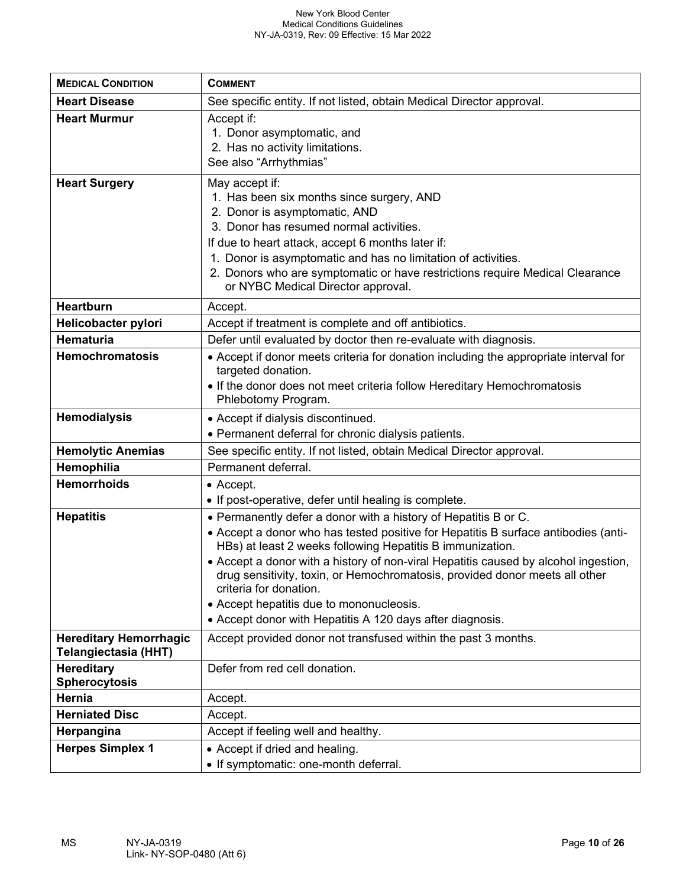| <b>MEDICAL CONDITION</b>                              | <b>COMMENT</b>                                                                                                                                                                                                                                                                                                                                                                                                                                                                                                              |
|-------------------------------------------------------|-----------------------------------------------------------------------------------------------------------------------------------------------------------------------------------------------------------------------------------------------------------------------------------------------------------------------------------------------------------------------------------------------------------------------------------------------------------------------------------------------------------------------------|
| <b>Heart Disease</b>                                  | See specific entity. If not listed, obtain Medical Director approval.                                                                                                                                                                                                                                                                                                                                                                                                                                                       |
| <b>Heart Murmur</b>                                   | Accept if:<br>1. Donor asymptomatic, and<br>2. Has no activity limitations.<br>See also "Arrhythmias"                                                                                                                                                                                                                                                                                                                                                                                                                       |
| <b>Heart Surgery</b>                                  | May accept if:<br>1. Has been six months since surgery, AND<br>2. Donor is asymptomatic, AND<br>3. Donor has resumed normal activities.<br>If due to heart attack, accept 6 months later if:<br>1. Donor is asymptomatic and has no limitation of activities.<br>2. Donors who are symptomatic or have restrictions require Medical Clearance<br>or NYBC Medical Director approval.                                                                                                                                         |
| <b>Heartburn</b>                                      | Accept.                                                                                                                                                                                                                                                                                                                                                                                                                                                                                                                     |
| Helicobacter pylori                                   | Accept if treatment is complete and off antibiotics.                                                                                                                                                                                                                                                                                                                                                                                                                                                                        |
| Hematuria                                             | Defer until evaluated by doctor then re-evaluate with diagnosis.                                                                                                                                                                                                                                                                                                                                                                                                                                                            |
| <b>Hemochromatosis</b>                                | • Accept if donor meets criteria for donation including the appropriate interval for<br>targeted donation.<br>• If the donor does not meet criteria follow Hereditary Hemochromatosis<br>Phlebotomy Program.                                                                                                                                                                                                                                                                                                                |
| <b>Hemodialysis</b>                                   | • Accept if dialysis discontinued.<br>• Permanent deferral for chronic dialysis patients.                                                                                                                                                                                                                                                                                                                                                                                                                                   |
| <b>Hemolytic Anemias</b>                              | See specific entity. If not listed, obtain Medical Director approval.                                                                                                                                                                                                                                                                                                                                                                                                                                                       |
| Hemophilia                                            | Permanent deferral.                                                                                                                                                                                                                                                                                                                                                                                                                                                                                                         |
| <b>Hemorrhoids</b>                                    | • Accept.<br>• If post-operative, defer until healing is complete.                                                                                                                                                                                                                                                                                                                                                                                                                                                          |
| <b>Hepatitis</b>                                      | . Permanently defer a donor with a history of Hepatitis B or C.<br>• Accept a donor who has tested positive for Hepatitis B surface antibodies (anti-<br>HBs) at least 2 weeks following Hepatitis B immunization.<br>• Accept a donor with a history of non-viral Hepatitis caused by alcohol ingestion,<br>drug sensitivity, toxin, or Hemochromatosis, provided donor meets all other<br>criteria for donation.<br>• Accept hepatitis due to mononucleosis.<br>• Accept donor with Hepatitis A 120 days after diagnosis. |
| <b>Hereditary Hemorrhagic</b><br>Telangiectasia (HHT) | Accept provided donor not transfused within the past 3 months.                                                                                                                                                                                                                                                                                                                                                                                                                                                              |
| <b>Hereditary</b><br><b>Spherocytosis</b>             | Defer from red cell donation.                                                                                                                                                                                                                                                                                                                                                                                                                                                                                               |
| Hernia                                                | Accept.                                                                                                                                                                                                                                                                                                                                                                                                                                                                                                                     |
| <b>Herniated Disc</b>                                 | Accept.                                                                                                                                                                                                                                                                                                                                                                                                                                                                                                                     |
| Herpangina                                            | Accept if feeling well and healthy.                                                                                                                                                                                                                                                                                                                                                                                                                                                                                         |
| <b>Herpes Simplex 1</b>                               | • Accept if dried and healing.<br>• If symptomatic: one-month deferral.                                                                                                                                                                                                                                                                                                                                                                                                                                                     |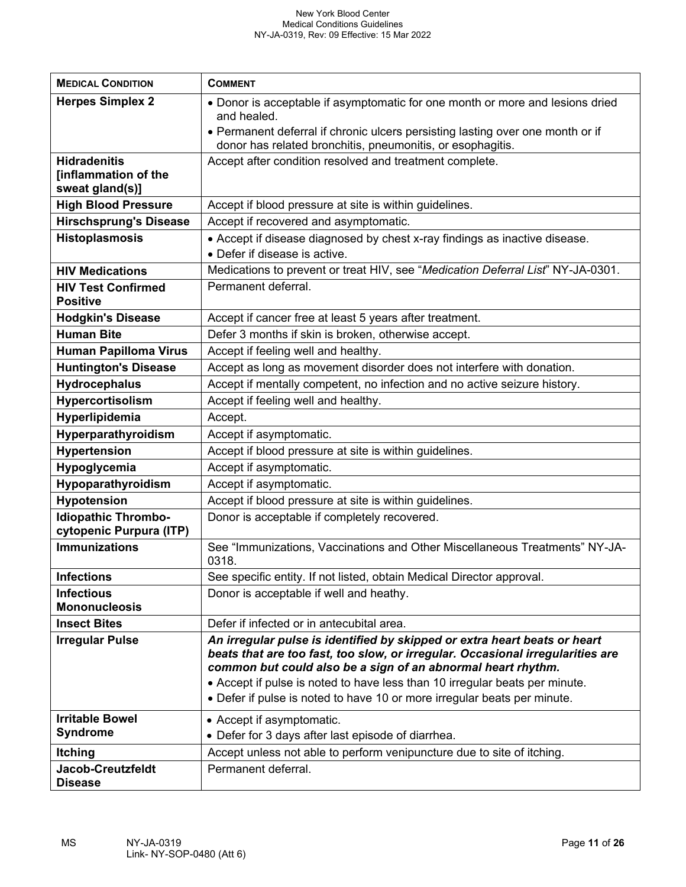| <b>MEDICAL CONDITION</b>                                       | <b>COMMENT</b>                                                                                                                                                                                                                                                                                                                                                                         |
|----------------------------------------------------------------|----------------------------------------------------------------------------------------------------------------------------------------------------------------------------------------------------------------------------------------------------------------------------------------------------------------------------------------------------------------------------------------|
| <b>Herpes Simplex 2</b>                                        | • Donor is acceptable if asymptomatic for one month or more and lesions dried<br>and healed.                                                                                                                                                                                                                                                                                           |
|                                                                | • Permanent deferral if chronic ulcers persisting lasting over one month or if<br>donor has related bronchitis, pneumonitis, or esophagitis.                                                                                                                                                                                                                                           |
| <b>Hidradenitis</b><br>[inflammation of the<br>sweat gland(s)] | Accept after condition resolved and treatment complete.                                                                                                                                                                                                                                                                                                                                |
| <b>High Blood Pressure</b>                                     | Accept if blood pressure at site is within guidelines.                                                                                                                                                                                                                                                                                                                                 |
| <b>Hirschsprung's Disease</b>                                  | Accept if recovered and asymptomatic.                                                                                                                                                                                                                                                                                                                                                  |
| <b>Histoplasmosis</b>                                          | • Accept if disease diagnosed by chest x-ray findings as inactive disease.<br>• Defer if disease is active.                                                                                                                                                                                                                                                                            |
| <b>HIV Medications</b>                                         | Medications to prevent or treat HIV, see "Medication Deferral List" NY-JA-0301.                                                                                                                                                                                                                                                                                                        |
| <b>HIV Test Confirmed</b><br><b>Positive</b>                   | Permanent deferral.                                                                                                                                                                                                                                                                                                                                                                    |
| <b>Hodgkin's Disease</b>                                       | Accept if cancer free at least 5 years after treatment.                                                                                                                                                                                                                                                                                                                                |
| <b>Human Bite</b>                                              | Defer 3 months if skin is broken, otherwise accept.                                                                                                                                                                                                                                                                                                                                    |
| <b>Human Papilloma Virus</b>                                   | Accept if feeling well and healthy.                                                                                                                                                                                                                                                                                                                                                    |
| <b>Huntington's Disease</b>                                    | Accept as long as movement disorder does not interfere with donation.                                                                                                                                                                                                                                                                                                                  |
| <b>Hydrocephalus</b>                                           | Accept if mentally competent, no infection and no active seizure history.                                                                                                                                                                                                                                                                                                              |
| Hypercortisolism                                               | Accept if feeling well and healthy.                                                                                                                                                                                                                                                                                                                                                    |
| Hyperlipidemia                                                 | Accept.                                                                                                                                                                                                                                                                                                                                                                                |
| Hyperparathyroidism                                            | Accept if asymptomatic.                                                                                                                                                                                                                                                                                                                                                                |
| <b>Hypertension</b>                                            | Accept if blood pressure at site is within guidelines.                                                                                                                                                                                                                                                                                                                                 |
| Hypoglycemia                                                   | Accept if asymptomatic.                                                                                                                                                                                                                                                                                                                                                                |
| Hypoparathyroidism                                             | Accept if asymptomatic.                                                                                                                                                                                                                                                                                                                                                                |
| <b>Hypotension</b>                                             | Accept if blood pressure at site is within guidelines.                                                                                                                                                                                                                                                                                                                                 |
| <b>Idiopathic Thrombo-</b><br>cytopenic Purpura (ITP)          | Donor is acceptable if completely recovered.                                                                                                                                                                                                                                                                                                                                           |
| <b>Immunizations</b>                                           | See "Immunizations, Vaccinations and Other Miscellaneous Treatments" NY-JA-<br>0318.                                                                                                                                                                                                                                                                                                   |
| <b>Infections</b>                                              | See specific entity. If not listed, obtain Medical Director approval.                                                                                                                                                                                                                                                                                                                  |
| <b>Infectious</b><br><b>Mononucleosis</b>                      | Donor is acceptable if well and heathy.                                                                                                                                                                                                                                                                                                                                                |
| <b>Insect Bites</b>                                            | Defer if infected or in antecubital area.                                                                                                                                                                                                                                                                                                                                              |
| <b>Irregular Pulse</b>                                         | An irregular pulse is identified by skipped or extra heart beats or heart<br>beats that are too fast, too slow, or irregular. Occasional irregularities are<br>common but could also be a sign of an abnormal heart rhythm.<br>• Accept if pulse is noted to have less than 10 irregular beats per minute.<br>• Defer if pulse is noted to have 10 or more irregular beats per minute. |
| <b>Irritable Bowel</b>                                         | • Accept if asymptomatic.                                                                                                                                                                                                                                                                                                                                                              |
| <b>Syndrome</b>                                                | • Defer for 3 days after last episode of diarrhea.                                                                                                                                                                                                                                                                                                                                     |
| <b>Itching</b>                                                 | Accept unless not able to perform venipuncture due to site of itching.                                                                                                                                                                                                                                                                                                                 |
| <b>Jacob-Creutzfeldt</b><br><b>Disease</b>                     | Permanent deferral.                                                                                                                                                                                                                                                                                                                                                                    |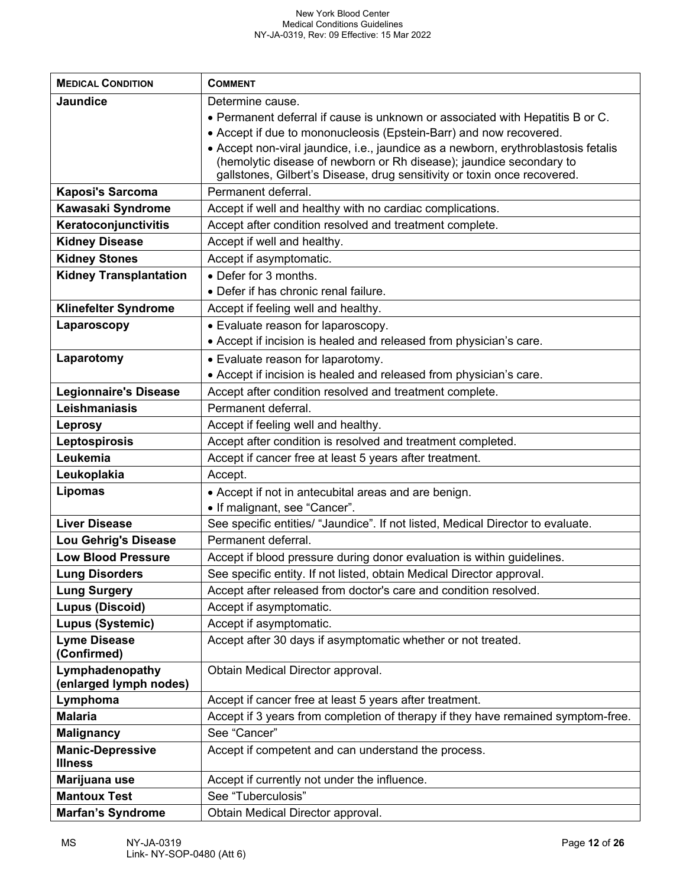| <b>MEDICAL CONDITION</b>                  | <b>COMMENT</b>                                                                     |
|-------------------------------------------|------------------------------------------------------------------------------------|
| <b>Jaundice</b>                           | Determine cause.                                                                   |
|                                           | . Permanent deferral if cause is unknown or associated with Hepatitis B or C.      |
|                                           | • Accept if due to mononucleosis (Epstein-Barr) and now recovered.                 |
|                                           | • Accept non-viral jaundice, i.e., jaundice as a newborn, erythroblastosis fetalis |
|                                           | (hemolytic disease of newborn or Rh disease); jaundice secondary to                |
|                                           | gallstones, Gilbert's Disease, drug sensitivity or toxin once recovered.           |
| Kaposi's Sarcoma                          | Permanent deferral.                                                                |
| Kawasaki Syndrome                         | Accept if well and healthy with no cardiac complications.                          |
| Keratoconjunctivitis                      | Accept after condition resolved and treatment complete.                            |
| <b>Kidney Disease</b>                     | Accept if well and healthy.                                                        |
| <b>Kidney Stones</b>                      | Accept if asymptomatic.                                                            |
| <b>Kidney Transplantation</b>             | • Defer for 3 months.                                                              |
|                                           | • Defer if has chronic renal failure.                                              |
| Klinefelter Syndrome                      | Accept if feeling well and healthy.                                                |
| Laparoscopy                               | • Evaluate reason for laparoscopy.                                                 |
|                                           | • Accept if incision is healed and released from physician's care.                 |
| Laparotomy                                | • Evaluate reason for laparotomy.                                                  |
|                                           | • Accept if incision is healed and released from physician's care.                 |
| <b>Legionnaire's Disease</b>              | Accept after condition resolved and treatment complete.                            |
| Leishmaniasis                             | Permanent deferral.                                                                |
| <b>Leprosy</b>                            | Accept if feeling well and healthy.                                                |
| Leptospirosis                             | Accept after condition is resolved and treatment completed.                        |
| Leukemia                                  | Accept if cancer free at least 5 years after treatment.                            |
| Leukoplakia                               | Accept.                                                                            |
| Lipomas                                   | • Accept if not in antecubital areas and are benign.                               |
|                                           | • If malignant, see "Cancer".                                                      |
| <b>Liver Disease</b>                      | See specific entities/ "Jaundice". If not listed, Medical Director to evaluate.    |
| Lou Gehrig's Disease                      | Permanent deferral.                                                                |
| <b>Low Blood Pressure</b>                 | Accept if blood pressure during donor evaluation is within guidelines.             |
| <b>Lung Disorders</b>                     | See specific entity. If not listed, obtain Medical Director approval.              |
| <b>Lung Surgery</b>                       | Accept after released from doctor's care and condition resolved.                   |
| <b>Lupus (Discoid)</b>                    | Accept if asymptomatic.                                                            |
| Lupus (Systemic)                          | Accept if asymptomatic.                                                            |
| <b>Lyme Disease</b>                       | Accept after 30 days if asymptomatic whether or not treated.                       |
| (Confirmed)                               |                                                                                    |
| Lymphadenopathy<br>(enlarged lymph nodes) | Obtain Medical Director approval.                                                  |
| Lymphoma                                  | Accept if cancer free at least 5 years after treatment.                            |
| <b>Malaria</b>                            | Accept if 3 years from completion of therapy if they have remained symptom-free.   |
| <b>Malignancy</b>                         | See "Cancer"                                                                       |
| <b>Manic-Depressive</b>                   | Accept if competent and can understand the process.                                |
| <b>Illness</b>                            |                                                                                    |
| Marijuana use                             | Accept if currently not under the influence.                                       |
| <b>Mantoux Test</b>                       | See "Tuberculosis"                                                                 |
| <b>Marfan's Syndrome</b>                  | Obtain Medical Director approval.                                                  |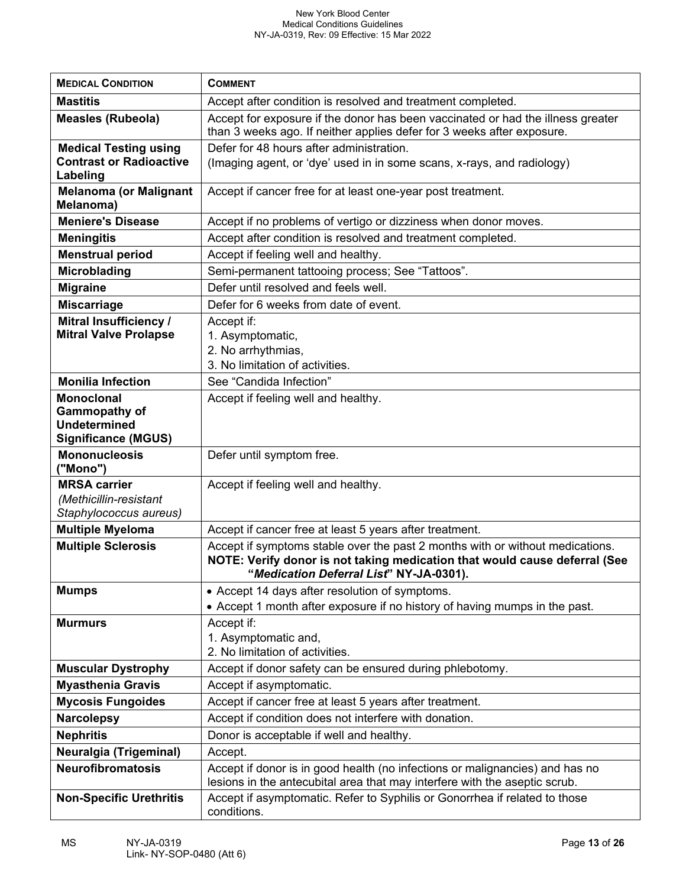| <b>MEDICAL CONDITION</b>                                                                | <b>COMMENT</b>                                                                                                                                                                                         |
|-----------------------------------------------------------------------------------------|--------------------------------------------------------------------------------------------------------------------------------------------------------------------------------------------------------|
| <b>Mastitis</b>                                                                         | Accept after condition is resolved and treatment completed.                                                                                                                                            |
| <b>Measles (Rubeola)</b>                                                                | Accept for exposure if the donor has been vaccinated or had the illness greater<br>than 3 weeks ago. If neither applies defer for 3 weeks after exposure.                                              |
| <b>Medical Testing using</b>                                                            | Defer for 48 hours after administration.                                                                                                                                                               |
| <b>Contrast or Radioactive</b><br>Labeling                                              | (Imaging agent, or 'dye' used in in some scans, x-rays, and radiology)                                                                                                                                 |
| <b>Melanoma (or Malignant</b><br>Melanoma)                                              | Accept if cancer free for at least one-year post treatment.                                                                                                                                            |
| <b>Meniere's Disease</b>                                                                | Accept if no problems of vertigo or dizziness when donor moves.                                                                                                                                        |
| <b>Meningitis</b>                                                                       | Accept after condition is resolved and treatment completed.                                                                                                                                            |
| <b>Menstrual period</b>                                                                 | Accept if feeling well and healthy.                                                                                                                                                                    |
| <b>Microblading</b>                                                                     | Semi-permanent tattooing process; See "Tattoos".                                                                                                                                                       |
| <b>Migraine</b>                                                                         | Defer until resolved and feels well.                                                                                                                                                                   |
| <b>Miscarriage</b>                                                                      | Defer for 6 weeks from date of event.                                                                                                                                                                  |
| <b>Mitral Insufficiency /</b><br><b>Mitral Valve Prolapse</b>                           | Accept if:<br>1. Asymptomatic,<br>2. No arrhythmias,                                                                                                                                                   |
|                                                                                         | 3. No limitation of activities.                                                                                                                                                                        |
| <b>Monilia Infection</b>                                                                | See "Candida Infection"                                                                                                                                                                                |
| <b>Monoclonal</b><br>Gammopathy of<br><b>Undetermined</b><br><b>Significance (MGUS)</b> | Accept if feeling well and healthy.                                                                                                                                                                    |
| <b>Mononucleosis</b><br>("Mono")                                                        | Defer until symptom free.                                                                                                                                                                              |
| <b>MRSA carrier</b><br>(Methicillin-resistant<br>Staphylococcus aureus)                 | Accept if feeling well and healthy.                                                                                                                                                                    |
| <b>Multiple Myeloma</b>                                                                 | Accept if cancer free at least 5 years after treatment.                                                                                                                                                |
| <b>Multiple Sclerosis</b>                                                               | Accept if symptoms stable over the past 2 months with or without medications.<br>NOTE: Verify donor is not taking medication that would cause deferral (See<br>"Medication Deferral List" NY-JA-0301). |
| <b>Mumps</b>                                                                            | • Accept 14 days after resolution of symptoms.<br>• Accept 1 month after exposure if no history of having mumps in the past.                                                                           |
| <b>Murmurs</b>                                                                          | Accept if:<br>1. Asymptomatic and,<br>2. No limitation of activities.                                                                                                                                  |
| <b>Muscular Dystrophy</b>                                                               | Accept if donor safety can be ensured during phlebotomy.                                                                                                                                               |
| <b>Myasthenia Gravis</b>                                                                | Accept if asymptomatic.                                                                                                                                                                                |
| <b>Mycosis Fungoides</b>                                                                | Accept if cancer free at least 5 years after treatment.                                                                                                                                                |
| <b>Narcolepsy</b>                                                                       | Accept if condition does not interfere with donation.                                                                                                                                                  |
| <b>Nephritis</b>                                                                        | Donor is acceptable if well and healthy.                                                                                                                                                               |
| Neuralgia (Trigeminal)                                                                  | Accept.                                                                                                                                                                                                |
| <b>Neurofibromatosis</b>                                                                | Accept if donor is in good health (no infections or malignancies) and has no<br>lesions in the antecubital area that may interfere with the aseptic scrub.                                             |
| <b>Non-Specific Urethritis</b>                                                          | Accept if asymptomatic. Refer to Syphilis or Gonorrhea if related to those<br>conditions.                                                                                                              |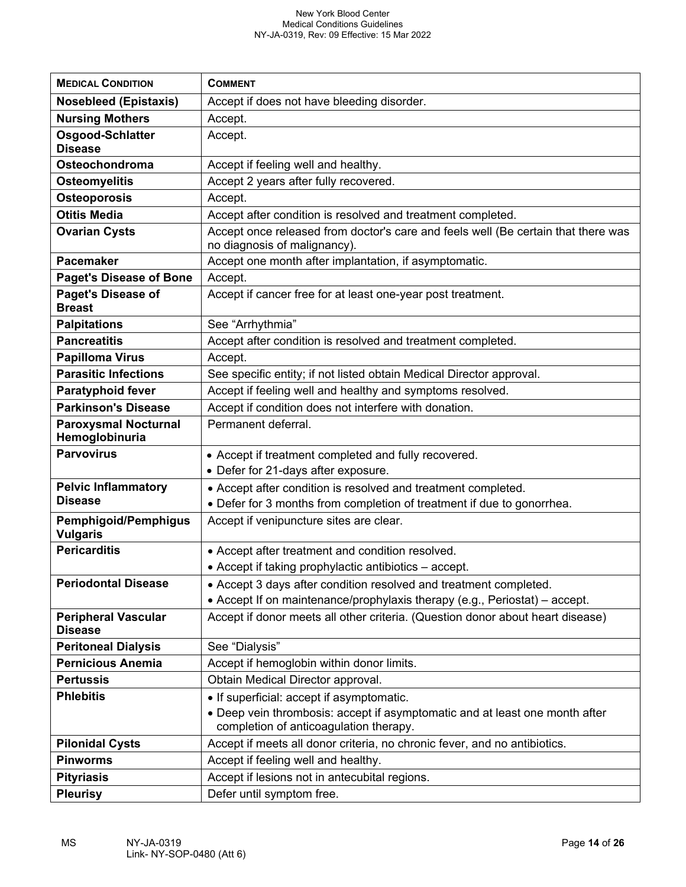| <b>MEDICAL CONDITION</b>                       | <b>COMMENT</b>                                                                                                        |
|------------------------------------------------|-----------------------------------------------------------------------------------------------------------------------|
| <b>Nosebleed (Epistaxis)</b>                   | Accept if does not have bleeding disorder.                                                                            |
| <b>Nursing Mothers</b>                         | Accept.                                                                                                               |
| Osgood-Schlatter<br><b>Disease</b>             | Accept.                                                                                                               |
| Osteochondroma                                 | Accept if feeling well and healthy.                                                                                   |
| <b>Osteomyelitis</b>                           | Accept 2 years after fully recovered.                                                                                 |
| <b>Osteoporosis</b>                            | Accept.                                                                                                               |
| <b>Otitis Media</b>                            | Accept after condition is resolved and treatment completed.                                                           |
| <b>Ovarian Cysts</b>                           | Accept once released from doctor's care and feels well (Be certain that there was<br>no diagnosis of malignancy).     |
| <b>Pacemaker</b>                               | Accept one month after implantation, if asymptomatic.                                                                 |
| <b>Paget's Disease of Bone</b>                 | Accept.                                                                                                               |
| <b>Paget's Disease of</b><br><b>Breast</b>     | Accept if cancer free for at least one-year post treatment.                                                           |
| <b>Palpitations</b>                            | See "Arrhythmia"                                                                                                      |
| <b>Pancreatitis</b>                            | Accept after condition is resolved and treatment completed.                                                           |
| <b>Papilloma Virus</b>                         | Accept.                                                                                                               |
| <b>Parasitic Infections</b>                    | See specific entity; if not listed obtain Medical Director approval.                                                  |
| <b>Paratyphoid fever</b>                       | Accept if feeling well and healthy and symptoms resolved.                                                             |
| <b>Parkinson's Disease</b>                     | Accept if condition does not interfere with donation.                                                                 |
| <b>Paroxysmal Nocturnal</b><br>Hemoglobinuria  | Permanent deferral.                                                                                                   |
| <b>Parvovirus</b>                              | • Accept if treatment completed and fully recovered.                                                                  |
|                                                | • Defer for 21-days after exposure.                                                                                   |
| <b>Pelvic Inflammatory</b>                     | • Accept after condition is resolved and treatment completed.                                                         |
| <b>Disease</b>                                 | • Defer for 3 months from completion of treatment if due to gonorrhea.                                                |
| <b>Pemphigoid/Pemphigus</b><br><b>Vulgaris</b> | Accept if venipuncture sites are clear.                                                                               |
| <b>Pericarditis</b>                            | • Accept after treatment and condition resolved.                                                                      |
|                                                | • Accept if taking prophylactic antibiotics - accept.                                                                 |
| <b>Periodontal Disease</b>                     | • Accept 3 days after condition resolved and treatment completed.                                                     |
|                                                | • Accept If on maintenance/prophylaxis therapy (e.g., Periostat) – accept.                                            |
| <b>Peripheral Vascular</b><br><b>Disease</b>   | Accept if donor meets all other criteria. (Question donor about heart disease)                                        |
| <b>Peritoneal Dialysis</b>                     | See "Dialysis"                                                                                                        |
| <b>Pernicious Anemia</b>                       | Accept if hemoglobin within donor limits.                                                                             |
| <b>Pertussis</b>                               | Obtain Medical Director approval.                                                                                     |
| <b>Phlebitis</b>                               | • If superficial: accept if asymptomatic.                                                                             |
|                                                | • Deep vein thrombosis: accept if asymptomatic and at least one month after<br>completion of anticoagulation therapy. |
| <b>Pilonidal Cysts</b>                         | Accept if meets all donor criteria, no chronic fever, and no antibiotics.                                             |
| <b>Pinworms</b>                                | Accept if feeling well and healthy.                                                                                   |
| <b>Pityriasis</b>                              | Accept if lesions not in antecubital regions.                                                                         |
| <b>Pleurisy</b>                                | Defer until symptom free.                                                                                             |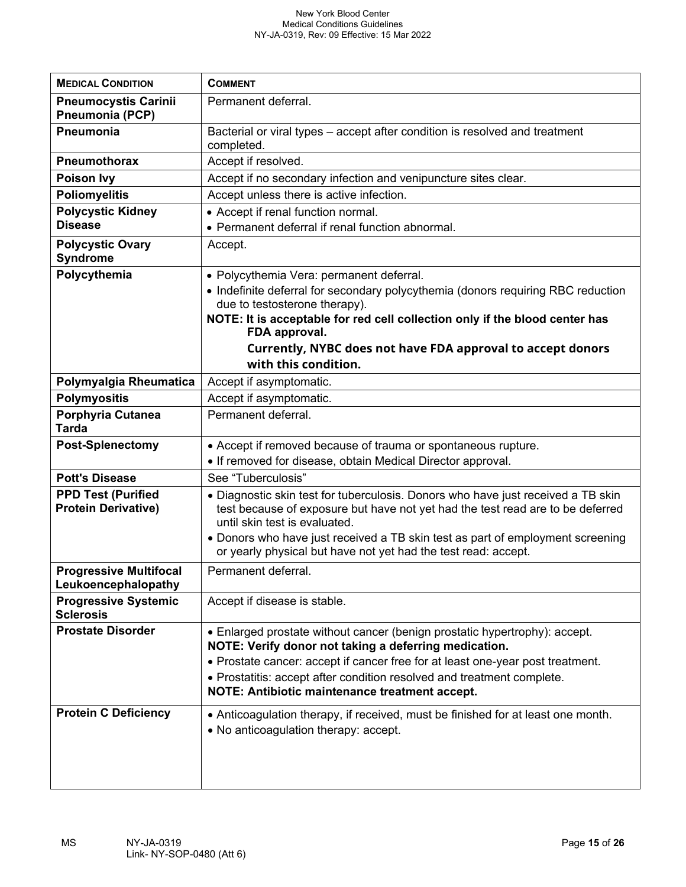| <b>MEDICAL CONDITION</b>                                | <b>COMMENT</b>                                                                                                                                                                                             |
|---------------------------------------------------------|------------------------------------------------------------------------------------------------------------------------------------------------------------------------------------------------------------|
| <b>Pneumocystis Carinii</b><br>Pneumonia (PCP)          | Permanent deferral.                                                                                                                                                                                        |
| Pneumonia                                               | Bacterial or viral types - accept after condition is resolved and treatment<br>completed.                                                                                                                  |
| <b>Pneumothorax</b>                                     | Accept if resolved.                                                                                                                                                                                        |
| Poison Ivy                                              | Accept if no secondary infection and venipuncture sites clear.                                                                                                                                             |
| <b>Poliomyelitis</b>                                    | Accept unless there is active infection.                                                                                                                                                                   |
| <b>Polycystic Kidney</b>                                | • Accept if renal function normal.                                                                                                                                                                         |
| <b>Disease</b>                                          | • Permanent deferral if renal function abnormal.                                                                                                                                                           |
| <b>Polycystic Ovary</b><br><b>Syndrome</b>              | Accept.                                                                                                                                                                                                    |
| Polycythemia                                            | • Polycythemia Vera: permanent deferral.                                                                                                                                                                   |
|                                                         | • Indefinite deferral for secondary polycythemia (donors requiring RBC reduction<br>due to testosterone therapy).                                                                                          |
|                                                         | NOTE: It is acceptable for red cell collection only if the blood center has<br>FDA approval.                                                                                                               |
|                                                         | Currently, NYBC does not have FDA approval to accept donors                                                                                                                                                |
|                                                         | with this condition.                                                                                                                                                                                       |
| Polymyalgia Rheumatica                                  | Accept if asymptomatic.                                                                                                                                                                                    |
| <b>Polymyositis</b>                                     | Accept if asymptomatic.                                                                                                                                                                                    |
| Porphyria Cutanea<br><b>Tarda</b>                       | Permanent deferral.                                                                                                                                                                                        |
| <b>Post-Splenectomy</b>                                 | • Accept if removed because of trauma or spontaneous rupture.                                                                                                                                              |
|                                                         | • If removed for disease, obtain Medical Director approval.                                                                                                                                                |
| <b>Pott's Disease</b>                                   | See "Tuberculosis"                                                                                                                                                                                         |
| <b>PPD Test (Purified</b><br><b>Protein Derivative)</b> | • Diagnostic skin test for tuberculosis. Donors who have just received a TB skin<br>test because of exposure but have not yet had the test read are to be deferred<br>until skin test is evaluated.        |
|                                                         | • Donors who have just received a TB skin test as part of employment screening<br>or yearly physical but have not yet had the test read: accept.                                                           |
| <b>Progressive Multifocal</b><br>Leukoencephalopathy    | Permanent deferral.                                                                                                                                                                                        |
| <b>Progressive Systemic</b><br><b>Sclerosis</b>         | Accept if disease is stable.                                                                                                                                                                               |
| <b>Prostate Disorder</b>                                | • Enlarged prostate without cancer (benign prostatic hypertrophy): accept.<br>NOTE: Verify donor not taking a deferring medication.                                                                        |
|                                                         | • Prostate cancer: accept if cancer free for at least one-year post treatment.<br>• Prostatitis: accept after condition resolved and treatment complete.<br>NOTE: Antibiotic maintenance treatment accept. |
| <b>Protein C Deficiency</b>                             | • Anticoagulation therapy, if received, must be finished for at least one month.<br>• No anticoagulation therapy: accept.                                                                                  |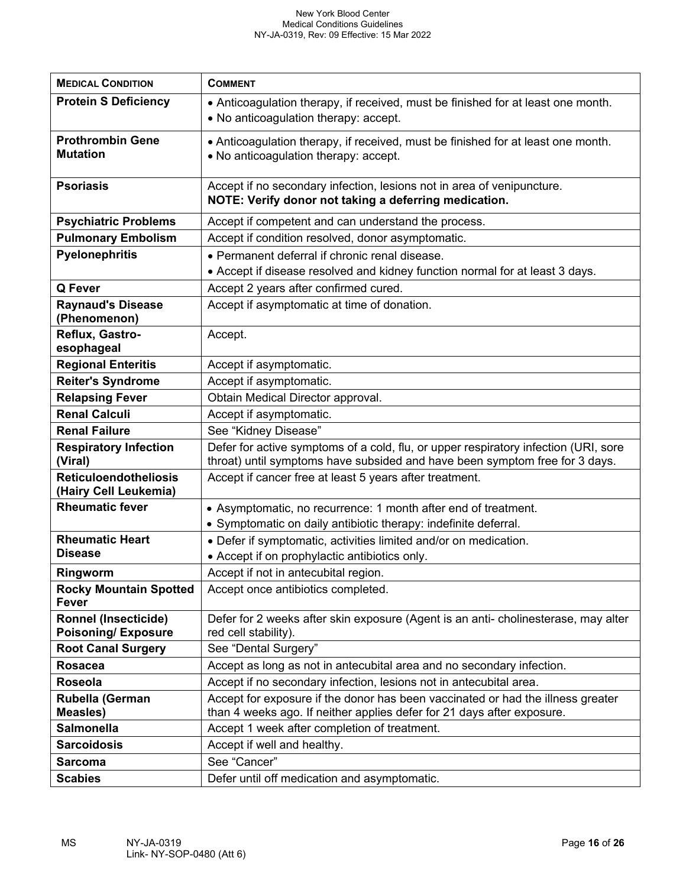| <b>MEDICAL CONDITION</b>                                 | <b>COMMENT</b>                                                                                                                                                     |
|----------------------------------------------------------|--------------------------------------------------------------------------------------------------------------------------------------------------------------------|
| <b>Protein S Deficiency</b>                              | • Anticoagulation therapy, if received, must be finished for at least one month.<br>• No anticoagulation therapy: accept.                                          |
| <b>Prothrombin Gene</b><br><b>Mutation</b>               | • Anticoagulation therapy, if received, must be finished for at least one month.<br>. No anticoagulation therapy: accept.                                          |
| <b>Psoriasis</b>                                         | Accept if no secondary infection, lesions not in area of venipuncture.<br>NOTE: Verify donor not taking a deferring medication.                                    |
| <b>Psychiatric Problems</b>                              | Accept if competent and can understand the process.                                                                                                                |
| <b>Pulmonary Embolism</b>                                | Accept if condition resolved, donor asymptomatic.                                                                                                                  |
| <b>Pyelonephritis</b>                                    | • Permanent deferral if chronic renal disease.<br>• Accept if disease resolved and kidney function normal for at least 3 days.                                     |
| Q Fever                                                  | Accept 2 years after confirmed cured.                                                                                                                              |
| <b>Raynaud's Disease</b><br>(Phenomenon)                 | Accept if asymptomatic at time of donation.                                                                                                                        |
| Reflux, Gastro-<br>esophageal                            | Accept.                                                                                                                                                            |
| <b>Regional Enteritis</b>                                | Accept if asymptomatic.                                                                                                                                            |
| <b>Reiter's Syndrome</b>                                 | Accept if asymptomatic.                                                                                                                                            |
| <b>Relapsing Fever</b>                                   | Obtain Medical Director approval.                                                                                                                                  |
| <b>Renal Calculi</b>                                     | Accept if asymptomatic.                                                                                                                                            |
| <b>Renal Failure</b>                                     | See "Kidney Disease"                                                                                                                                               |
| <b>Respiratory Infection</b><br>(Viral)                  | Defer for active symptoms of a cold, flu, or upper respiratory infection (URI, sore<br>throat) until symptoms have subsided and have been symptom free for 3 days. |
| <b>Reticuloendotheliosis</b><br>(Hairy Cell Leukemia)    | Accept if cancer free at least 5 years after treatment.                                                                                                            |
| <b>Rheumatic fever</b>                                   | • Asymptomatic, no recurrence: 1 month after end of treatment.<br>• Symptomatic on daily antibiotic therapy: indefinite deferral.                                  |
| <b>Rheumatic Heart</b>                                   | • Defer if symptomatic, activities limited and/or on medication.                                                                                                   |
| <b>Disease</b>                                           | • Accept if on prophylactic antibiotics only.                                                                                                                      |
| Ringworm                                                 | Accept if not in antecubital region.                                                                                                                               |
| <b>Rocky Mountain Spotted</b><br>Fever                   | Accept once antibiotics completed.                                                                                                                                 |
| <b>Ronnel (Insecticide)</b><br><b>Poisoning/Exposure</b> | Defer for 2 weeks after skin exposure (Agent is an anti- cholinesterase, may alter<br>red cell stability).                                                         |
| <b>Root Canal Surgery</b>                                | See "Dental Surgery"                                                                                                                                               |
| <b>Rosacea</b>                                           | Accept as long as not in antecubital area and no secondary infection.                                                                                              |
| Roseola                                                  | Accept if no secondary infection, lesions not in antecubital area.                                                                                                 |
| Rubella (German<br><b>Measles)</b>                       | Accept for exposure if the donor has been vaccinated or had the illness greater<br>than 4 weeks ago. If neither applies defer for 21 days after exposure.          |
| <b>Salmonella</b>                                        | Accept 1 week after completion of treatment.                                                                                                                       |
| <b>Sarcoidosis</b>                                       | Accept if well and healthy.                                                                                                                                        |
| <b>Sarcoma</b>                                           | See "Cancer"                                                                                                                                                       |
| <b>Scabies</b>                                           | Defer until off medication and asymptomatic.                                                                                                                       |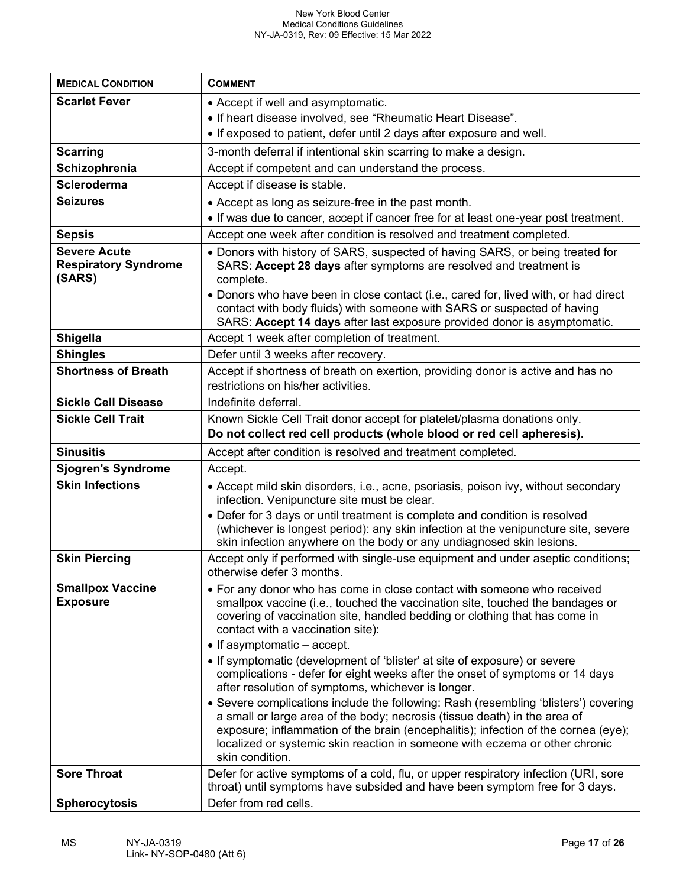| <b>MEDICAL CONDITION</b>                   | <b>COMMENT</b>                                                                                                                                                                                                                                                                                                                                           |
|--------------------------------------------|----------------------------------------------------------------------------------------------------------------------------------------------------------------------------------------------------------------------------------------------------------------------------------------------------------------------------------------------------------|
| <b>Scarlet Fever</b>                       | • Accept if well and asymptomatic.                                                                                                                                                                                                                                                                                                                       |
|                                            | • If heart disease involved, see "Rheumatic Heart Disease".                                                                                                                                                                                                                                                                                              |
|                                            | . If exposed to patient, defer until 2 days after exposure and well.                                                                                                                                                                                                                                                                                     |
| <b>Scarring</b>                            | 3-month deferral if intentional skin scarring to make a design.                                                                                                                                                                                                                                                                                          |
| Schizophrenia                              | Accept if competent and can understand the process.                                                                                                                                                                                                                                                                                                      |
| <b>Scleroderma</b>                         | Accept if disease is stable.                                                                                                                                                                                                                                                                                                                             |
| <b>Seizures</b>                            | • Accept as long as seizure-free in the past month.                                                                                                                                                                                                                                                                                                      |
|                                            | . If was due to cancer, accept if cancer free for at least one-year post treatment.                                                                                                                                                                                                                                                                      |
| <b>Sepsis</b>                              | Accept one week after condition is resolved and treatment completed.                                                                                                                                                                                                                                                                                     |
| <b>Severe Acute</b>                        | • Donors with history of SARS, suspected of having SARS, or being treated for                                                                                                                                                                                                                                                                            |
| <b>Respiratory Syndrome</b>                | SARS: Accept 28 days after symptoms are resolved and treatment is                                                                                                                                                                                                                                                                                        |
| (SARS)                                     | complete.                                                                                                                                                                                                                                                                                                                                                |
|                                            | • Donors who have been in close contact (i.e., cared for, lived with, or had direct<br>contact with body fluids) with someone with SARS or suspected of having                                                                                                                                                                                           |
|                                            | SARS: Accept 14 days after last exposure provided donor is asymptomatic.                                                                                                                                                                                                                                                                                 |
| Shigella                                   | Accept 1 week after completion of treatment.                                                                                                                                                                                                                                                                                                             |
| <b>Shingles</b>                            | Defer until 3 weeks after recovery.                                                                                                                                                                                                                                                                                                                      |
| <b>Shortness of Breath</b>                 | Accept if shortness of breath on exertion, providing donor is active and has no                                                                                                                                                                                                                                                                          |
|                                            | restrictions on his/her activities.                                                                                                                                                                                                                                                                                                                      |
| <b>Sickle Cell Disease</b>                 | Indefinite deferral.                                                                                                                                                                                                                                                                                                                                     |
| <b>Sickle Cell Trait</b>                   | Known Sickle Cell Trait donor accept for platelet/plasma donations only.                                                                                                                                                                                                                                                                                 |
|                                            | Do not collect red cell products (whole blood or red cell apheresis).                                                                                                                                                                                                                                                                                    |
| <b>Sinusitis</b>                           | Accept after condition is resolved and treatment completed.                                                                                                                                                                                                                                                                                              |
| <b>Sjogren's Syndrome</b>                  | Accept.                                                                                                                                                                                                                                                                                                                                                  |
| <b>Skin Infections</b>                     | • Accept mild skin disorders, i.e., acne, psoriasis, poison ivy, without secondary<br>infection. Venipuncture site must be clear.                                                                                                                                                                                                                        |
|                                            | • Defer for 3 days or until treatment is complete and condition is resolved<br>(whichever is longest period): any skin infection at the venipuncture site, severe                                                                                                                                                                                        |
|                                            | skin infection anywhere on the body or any undiagnosed skin lesions.                                                                                                                                                                                                                                                                                     |
| <b>Skin Piercing</b>                       | Accept only if performed with single-use equipment and under aseptic conditions;<br>otherwise defer 3 months.                                                                                                                                                                                                                                            |
| <b>Smallpox Vaccine</b><br><b>Exposure</b> | • For any donor who has come in close contact with someone who received<br>smallpox vaccine (i.e., touched the vaccination site, touched the bandages or<br>covering of vaccination site, handled bedding or clothing that has come in<br>contact with a vaccination site):<br>• If asymptomatic - accept.                                               |
|                                            | • If symptomatic (development of 'blister' at site of exposure) or severe                                                                                                                                                                                                                                                                                |
|                                            | complications - defer for eight weeks after the onset of symptoms or 14 days<br>after resolution of symptoms, whichever is longer.                                                                                                                                                                                                                       |
|                                            | • Severe complications include the following: Rash (resembling 'blisters') covering<br>a small or large area of the body; necrosis (tissue death) in the area of<br>exposure; inflammation of the brain (encephalitis); infection of the cornea (eye);<br>localized or systemic skin reaction in someone with eczema or other chronic<br>skin condition. |
| <b>Sore Throat</b>                         | Defer for active symptoms of a cold, flu, or upper respiratory infection (URI, sore                                                                                                                                                                                                                                                                      |
|                                            | throat) until symptoms have subsided and have been symptom free for 3 days.                                                                                                                                                                                                                                                                              |
| <b>Spherocytosis</b>                       | Defer from red cells.                                                                                                                                                                                                                                                                                                                                    |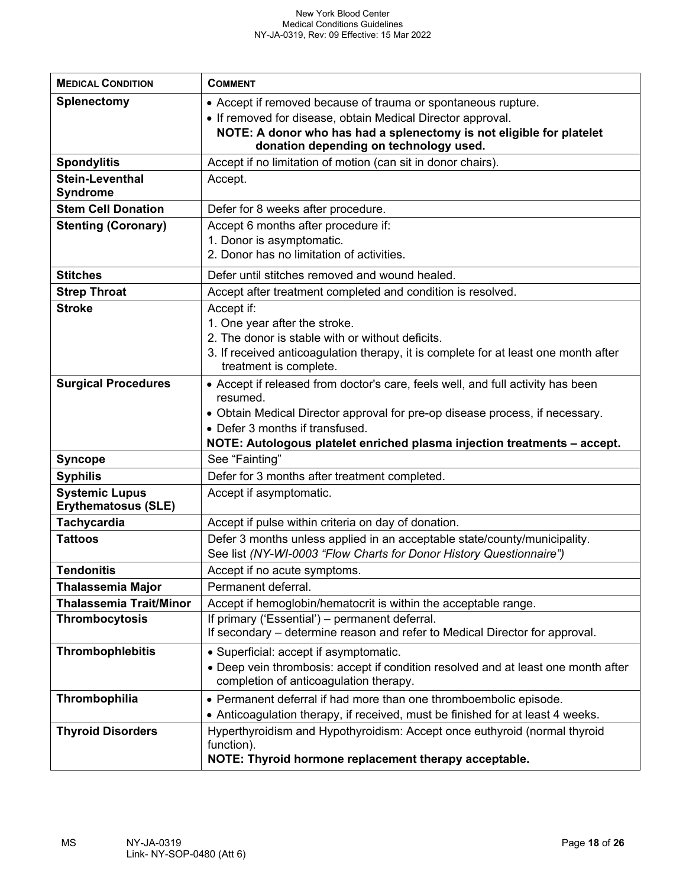| <b>MEDICAL CONDITION</b>                            | <b>COMMENT</b>                                                                                                                                   |
|-----------------------------------------------------|--------------------------------------------------------------------------------------------------------------------------------------------------|
| <b>Splenectomy</b>                                  | • Accept if removed because of trauma or spontaneous rupture.                                                                                    |
|                                                     | • If removed for disease, obtain Medical Director approval.<br>NOTE: A donor who has had a splenectomy is not eligible for platelet              |
|                                                     | donation depending on technology used.                                                                                                           |
| <b>Spondylitis</b>                                  | Accept if no limitation of motion (can sit in donor chairs).                                                                                     |
| <b>Stein-Leventhal</b><br><b>Syndrome</b>           | Accept.                                                                                                                                          |
| <b>Stem Cell Donation</b>                           | Defer for 8 weeks after procedure.                                                                                                               |
| <b>Stenting (Coronary)</b>                          | Accept 6 months after procedure if:                                                                                                              |
|                                                     | 1. Donor is asymptomatic.<br>2. Donor has no limitation of activities.                                                                           |
|                                                     |                                                                                                                                                  |
| <b>Stitches</b>                                     | Defer until stitches removed and wound healed.                                                                                                   |
| <b>Strep Throat</b>                                 | Accept after treatment completed and condition is resolved.                                                                                      |
| <b>Stroke</b>                                       | Accept if:<br>1. One year after the stroke.                                                                                                      |
|                                                     | 2. The donor is stable with or without deficits.                                                                                                 |
|                                                     | 3. If received anticoagulation therapy, it is complete for at least one month after                                                              |
|                                                     | treatment is complete.                                                                                                                           |
| <b>Surgical Procedures</b>                          | • Accept if released from doctor's care, feels well, and full activity has been<br>resumed.                                                      |
|                                                     | • Obtain Medical Director approval for pre-op disease process, if necessary.                                                                     |
|                                                     | • Defer 3 months if transfused.                                                                                                                  |
|                                                     | NOTE: Autologous platelet enriched plasma injection treatments - accept.                                                                         |
| <b>Syncope</b>                                      | See "Fainting"                                                                                                                                   |
| <b>Syphilis</b>                                     | Defer for 3 months after treatment completed.                                                                                                    |
| <b>Systemic Lupus</b><br><b>Erythematosus (SLE)</b> | Accept if asymptomatic.                                                                                                                          |
| <b>Tachycardia</b>                                  | Accept if pulse within criteria on day of donation.                                                                                              |
| <b>Tattoos</b>                                      | Defer 3 months unless applied in an acceptable state/county/municipality.<br>See list (NY-WI-0003 "Flow Charts for Donor History Questionnaire") |
| <b>Tendonitis</b>                                   | Accept if no acute symptoms.                                                                                                                     |
| <b>Thalassemia Major</b>                            | Permanent deferral.                                                                                                                              |
| <b>Thalassemia Trait/Minor</b>                      | Accept if hemoglobin/hematocrit is within the acceptable range.                                                                                  |
| <b>Thrombocytosis</b>                               | If primary ('Essential') - permanent deferral.<br>If secondary – determine reason and refer to Medical Director for approval.                    |
| <b>Thrombophlebitis</b>                             | • Superficial: accept if asymptomatic.                                                                                                           |
|                                                     | • Deep vein thrombosis: accept if condition resolved and at least one month after                                                                |
|                                                     | completion of anticoagulation therapy.                                                                                                           |
| Thrombophilia                                       | • Permanent deferral if had more than one thromboembolic episode.                                                                                |
|                                                     | • Anticoagulation therapy, if received, must be finished for at least 4 weeks.                                                                   |
| <b>Thyroid Disorders</b>                            | Hyperthyroidism and Hypothyroidism: Accept once euthyroid (normal thyroid<br>function).                                                          |
|                                                     | NOTE: Thyroid hormone replacement therapy acceptable.                                                                                            |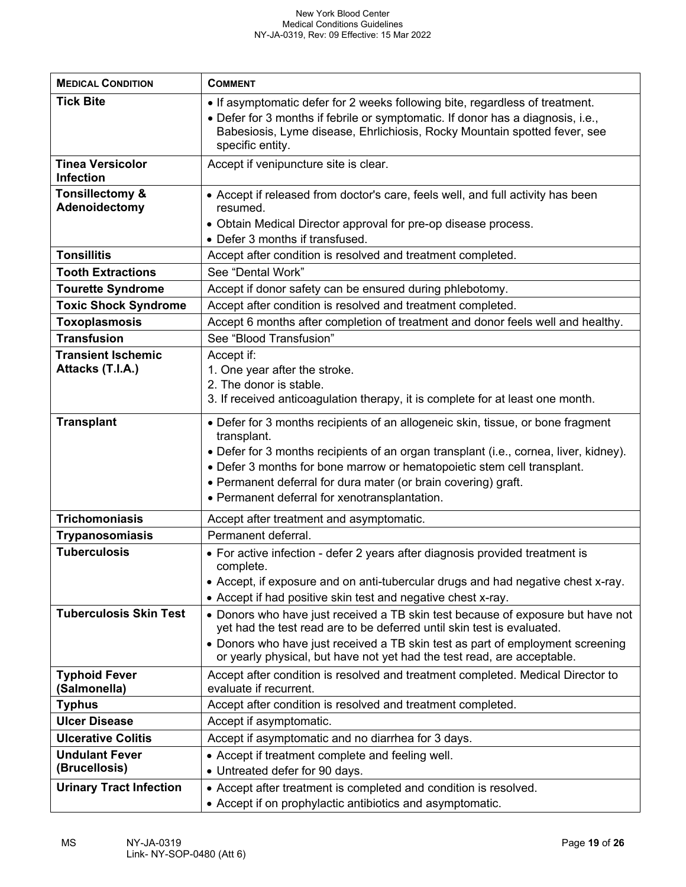| <b>MEDICAL CONDITION</b>                      | <b>COMMENT</b>                                                                                                                                                                                                                                                                                                                                                                        |
|-----------------------------------------------|---------------------------------------------------------------------------------------------------------------------------------------------------------------------------------------------------------------------------------------------------------------------------------------------------------------------------------------------------------------------------------------|
| <b>Tick Bite</b>                              | • If asymptomatic defer for 2 weeks following bite, regardless of treatment.                                                                                                                                                                                                                                                                                                          |
|                                               | • Defer for 3 months if febrile or symptomatic. If donor has a diagnosis, i.e.,<br>Babesiosis, Lyme disease, Ehrlichiosis, Rocky Mountain spotted fever, see<br>specific entity.                                                                                                                                                                                                      |
| <b>Tinea Versicolor</b><br><b>Infection</b>   | Accept if venipuncture site is clear.                                                                                                                                                                                                                                                                                                                                                 |
| <b>Tonsillectomy &amp;</b><br>Adenoidectomy   | • Accept if released from doctor's care, feels well, and full activity has been<br>resumed.<br>• Obtain Medical Director approval for pre-op disease process.                                                                                                                                                                                                                         |
|                                               | • Defer 3 months if transfused.                                                                                                                                                                                                                                                                                                                                                       |
| <b>Tonsillitis</b>                            | Accept after condition is resolved and treatment completed.                                                                                                                                                                                                                                                                                                                           |
| <b>Tooth Extractions</b>                      | See "Dental Work"                                                                                                                                                                                                                                                                                                                                                                     |
| <b>Tourette Syndrome</b>                      | Accept if donor safety can be ensured during phlebotomy.                                                                                                                                                                                                                                                                                                                              |
| <b>Toxic Shock Syndrome</b>                   | Accept after condition is resolved and treatment completed.                                                                                                                                                                                                                                                                                                                           |
| <b>Toxoplasmosis</b>                          | Accept 6 months after completion of treatment and donor feels well and healthy.                                                                                                                                                                                                                                                                                                       |
| <b>Transfusion</b>                            | See "Blood Transfusion"                                                                                                                                                                                                                                                                                                                                                               |
| <b>Transient Ischemic</b><br>Attacks (T.I.A.) | Accept if:<br>1. One year after the stroke.<br>2. The donor is stable.<br>3. If received anticoagulation therapy, it is complete for at least one month.                                                                                                                                                                                                                              |
| <b>Transplant</b>                             | • Defer for 3 months recipients of an allogeneic skin, tissue, or bone fragment<br>transplant.<br>• Defer for 3 months recipients of an organ transplant (i.e., cornea, liver, kidney).<br>• Defer 3 months for bone marrow or hematopoietic stem cell transplant.<br>• Permanent deferral for dura mater (or brain covering) graft.<br>• Permanent deferral for xenotransplantation. |
| <b>Trichomoniasis</b>                         | Accept after treatment and asymptomatic.                                                                                                                                                                                                                                                                                                                                              |
| <b>Trypanosomiasis</b>                        | Permanent deferral.                                                                                                                                                                                                                                                                                                                                                                   |
| <b>Tuberculosis</b>                           | • For active infection - defer 2 years after diagnosis provided treatment is<br>complete.<br>• Accept, if exposure and on anti-tubercular drugs and had negative chest x-ray.<br>• Accept if had positive skin test and negative chest x-ray.                                                                                                                                         |
| <b>Tuberculosis Skin Test</b>                 | • Donors who have just received a TB skin test because of exposure but have not<br>yet had the test read are to be deferred until skin test is evaluated.<br>• Donors who have just received a TB skin test as part of employment screening<br>or yearly physical, but have not yet had the test read, are acceptable.                                                                |
| <b>Typhoid Fever</b><br>(Salmonella)          | Accept after condition is resolved and treatment completed. Medical Director to<br>evaluate if recurrent.                                                                                                                                                                                                                                                                             |
| <b>Typhus</b>                                 | Accept after condition is resolved and treatment completed.                                                                                                                                                                                                                                                                                                                           |
| <b>Ulcer Disease</b>                          | Accept if asymptomatic.                                                                                                                                                                                                                                                                                                                                                               |
| <b>Ulcerative Colitis</b>                     | Accept if asymptomatic and no diarrhea for 3 days.                                                                                                                                                                                                                                                                                                                                    |
| <b>Undulant Fever</b>                         | • Accept if treatment complete and feeling well.                                                                                                                                                                                                                                                                                                                                      |
| (Brucellosis)                                 | • Untreated defer for 90 days.                                                                                                                                                                                                                                                                                                                                                        |
| <b>Urinary Tract Infection</b>                | • Accept after treatment is completed and condition is resolved.                                                                                                                                                                                                                                                                                                                      |
|                                               | • Accept if on prophylactic antibiotics and asymptomatic.                                                                                                                                                                                                                                                                                                                             |